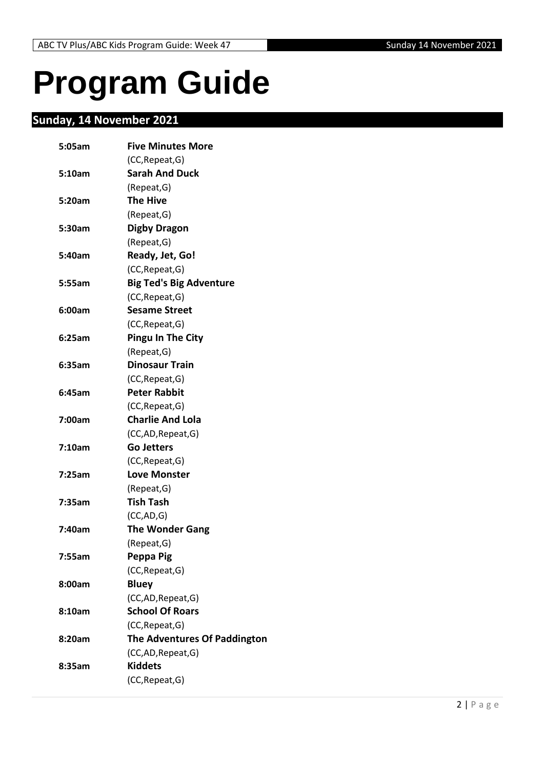# <span id="page-1-0"></span>**Program Guide**

# <span id="page-1-1"></span>**Sunday, 14 November 2021**

| 5:05am | <b>Five Minutes More</b>       |
|--------|--------------------------------|
|        | (CC, Repeat, G)                |
| 5:10am | <b>Sarah And Duck</b>          |
|        | (Repeat, G)                    |
| 5:20am | <b>The Hive</b>                |
|        | (Repeat,G)                     |
| 5:30am | <b>Digby Dragon</b>            |
|        | (Repeat, G)                    |
| 5:40am | Ready, Jet, Go!                |
|        | (CC, Repeat, G)                |
| 5:55am | <b>Big Ted's Big Adventure</b> |
|        | (CC, Repeat, G)                |
| 6:00am | <b>Sesame Street</b>           |
|        | (CC, Repeat, G)                |
| 6:25am | <b>Pingu In The City</b>       |
|        | (Repeat, G)                    |
| 6:35am | <b>Dinosaur Train</b>          |
|        | (CC, Repeat, G)                |
| 6:45am | <b>Peter Rabbit</b>            |
|        | (CC, Repeat, G)                |
| 7:00am | <b>Charlie And Lola</b>        |
|        | (CC,AD, Repeat, G)             |
| 7:10am | <b>Go Jetters</b>              |
|        | (CC, Repeat, G)                |
| 7:25am | <b>Love Monster</b>            |
|        | (Repeat, G)                    |
| 7:35am | <b>Tish Tash</b>               |
|        | (CC, AD, G)                    |
| 7:40am | <b>The Wonder Gang</b>         |
|        | (Repeat, G)                    |
| 7:55am | Peppa Pig                      |
|        | (CC, Repeat, G)                |
| 8:00am | <b>Bluey</b>                   |
|        | (CC,AD, Repeat, G)             |
| 8:10am | <b>School Of Roars</b>         |
|        | (CC, Repeat, G)                |
| 8:20am | The Adventures Of Paddington   |
|        | (CC,AD, Repeat, G)             |
| 8:35am | <b>Kiddets</b>                 |
|        | (CC, Repeat, G)                |
|        |                                |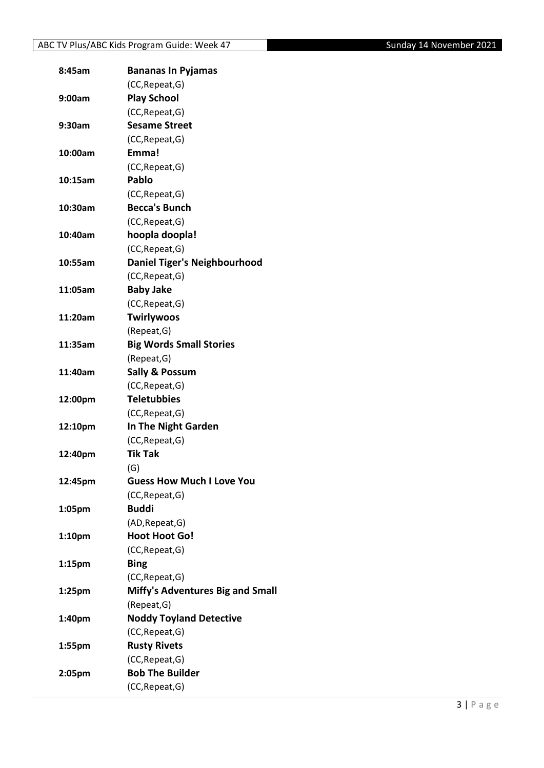| 8:45am             | <b>Bananas In Pyjamas</b>               |
|--------------------|-----------------------------------------|
|                    | (CC, Repeat, G)                         |
| 9:00am             | <b>Play School</b>                      |
|                    | (CC, Repeat, G)                         |
| 9:30am             | <b>Sesame Street</b>                    |
|                    | (CC, Repeat, G)                         |
| 10:00am            | Emma!                                   |
|                    | (CC, Repeat, G)                         |
| 10:15am            | <b>Pablo</b>                            |
|                    | (CC, Repeat, G)                         |
| 10:30am            | <b>Becca's Bunch</b>                    |
|                    | (CC, Repeat, G)                         |
| 10:40am            | hoopla doopla!                          |
|                    | (CC, Repeat, G)                         |
| 10:55am            | <b>Daniel Tiger's Neighbourhood</b>     |
|                    | (CC, Repeat, G)                         |
| 11:05am            | <b>Baby Jake</b>                        |
|                    | (CC, Repeat, G)                         |
| 11:20am            | Twirlywoos                              |
|                    | (Repeat, G)                             |
| 11:35am            | <b>Big Words Small Stories</b>          |
|                    | (Repeat, G)                             |
| 11:40am            | <b>Sally &amp; Possum</b>               |
|                    | (CC, Repeat, G)                         |
| 12:00pm            | <b>Teletubbies</b>                      |
|                    | (CC, Repeat, G)                         |
| 12:10pm            | In The Night Garden                     |
|                    | (CC, Repeat, G)                         |
| 12:40pm            | <b>Tik Tak</b>                          |
|                    | (G)                                     |
| 12:45pm            | <b>Guess How Much I Love You</b>        |
|                    | (CC, Repeat, G)                         |
| 1:05pm             | <b>Buddi</b>                            |
|                    | (AD, Repeat, G)                         |
| 1:10 <sub>pm</sub> | <b>Hoot Hoot Go!</b>                    |
|                    | (CC, Repeat, G)                         |
| 1:15 <sub>pm</sub> | <b>Bing</b>                             |
|                    | (CC, Repeat, G)                         |
| 1:25pm             | <b>Miffy's Adventures Big and Small</b> |
|                    | (Repeat, G)                             |
| 1:40pm             | <b>Noddy Toyland Detective</b>          |
|                    | (CC, Repeat, G)                         |
| 1:55pm             | <b>Rusty Rivets</b>                     |
|                    | (CC, Repeat, G)                         |
| 2:05pm             | <b>Bob The Builder</b>                  |
|                    | (CC, Repeat, G)                         |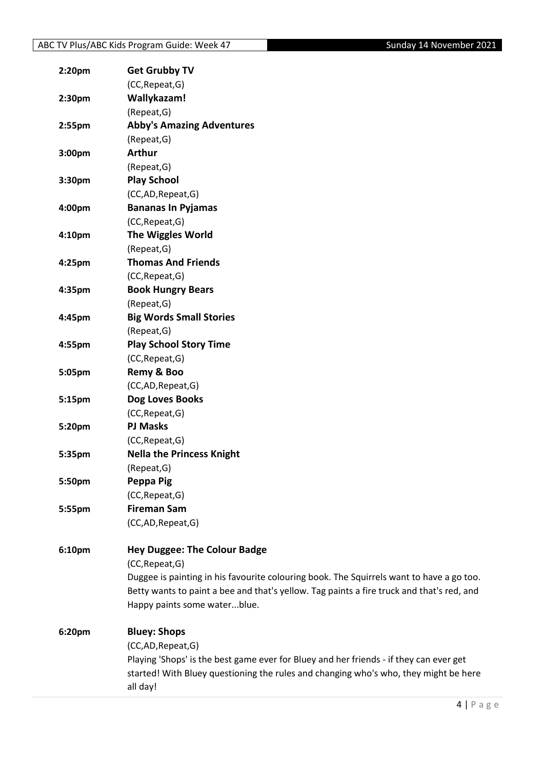| 2:20pm | <b>Get Grubby TV</b>                                                                      |
|--------|-------------------------------------------------------------------------------------------|
|        | (CC, Repeat, G)                                                                           |
| 2:30pm | Wallykazam!                                                                               |
|        | (Repeat, G)                                                                               |
| 2:55pm | <b>Abby's Amazing Adventures</b>                                                          |
|        | (Repeat, G)                                                                               |
| 3:00pm | <b>Arthur</b>                                                                             |
|        | (Repeat, G)                                                                               |
| 3:30pm | <b>Play School</b>                                                                        |
|        | (CC,AD,Repeat,G)                                                                          |
| 4:00pm | <b>Bananas In Pyjamas</b>                                                                 |
|        | (CC, Repeat, G)                                                                           |
| 4:10pm | <b>The Wiggles World</b>                                                                  |
|        | (Repeat, G)                                                                               |
| 4:25pm | <b>Thomas And Friends</b>                                                                 |
|        | (CC, Repeat, G)                                                                           |
| 4:35pm | <b>Book Hungry Bears</b>                                                                  |
|        | (Repeat, G)                                                                               |
| 4:45pm | <b>Big Words Small Stories</b>                                                            |
|        | (Repeat, G)                                                                               |
| 4:55pm | <b>Play School Story Time</b>                                                             |
|        | (CC, Repeat, G)                                                                           |
| 5:05pm | Remy & Boo                                                                                |
|        | (CC,AD, Repeat, G)                                                                        |
| 5:15pm | Dog Loves Books                                                                           |
|        | (CC, Repeat, G)                                                                           |
| 5:20pm | <b>PJ Masks</b>                                                                           |
|        | (CC, Repeat, G)                                                                           |
| 5:35pm | <b>Nella the Princess Knight</b>                                                          |
|        | (Repeat, G)                                                                               |
| 5:50pm | Peppa Pig                                                                                 |
|        | (CC, Repeat, G)                                                                           |
| 5:55pm | <b>Fireman Sam</b>                                                                        |
|        | (CC,AD,Repeat,G)                                                                          |
| 6:10pm | <b>Hey Duggee: The Colour Badge</b>                                                       |
|        | (CC, Repeat, G)                                                                           |
|        | Duggee is painting in his favourite colouring book. The Squirrels want to have a go too.  |
|        | Betty wants to paint a bee and that's yellow. Tag paints a fire truck and that's red, and |
|        | Happy paints some waterblue.                                                              |
| 6:20pm | <b>Bluey: Shops</b>                                                                       |
|        | (CC,AD, Repeat, G)                                                                        |
|        | Playing 'Shops' is the best game ever for Bluey and her friends - if they can ever get    |
|        | started! With Bluey questioning the rules and changing who's who, they might be here      |
|        | all day!                                                                                  |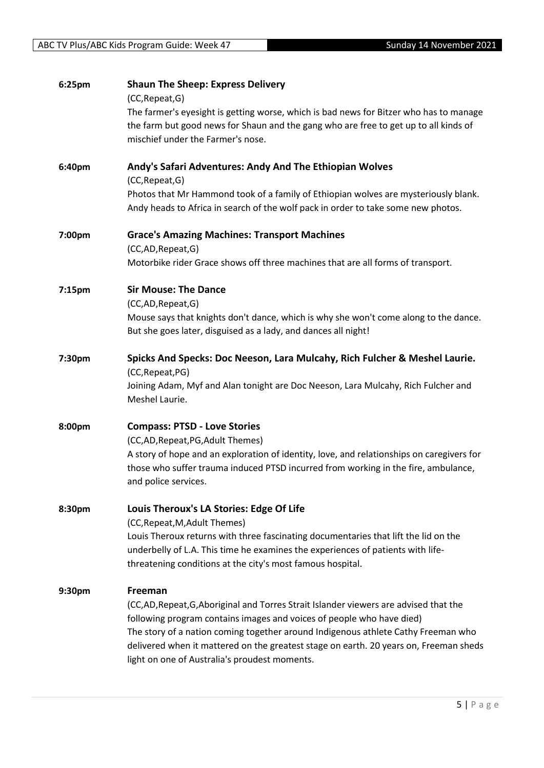| 6:25pm | <b>Shaun The Sheep: Express Delivery</b>                                                                                                                                       |
|--------|--------------------------------------------------------------------------------------------------------------------------------------------------------------------------------|
|        | (CC, Repeat, G)                                                                                                                                                                |
|        | The farmer's eyesight is getting worse, which is bad news for Bitzer who has to manage<br>the farm but good news for Shaun and the gang who are free to get up to all kinds of |
|        | mischief under the Farmer's nose.                                                                                                                                              |
|        |                                                                                                                                                                                |
| 6:40pm | Andy's Safari Adventures: Andy And The Ethiopian Wolves                                                                                                                        |
|        | (CC, Repeat, G)                                                                                                                                                                |
|        | Photos that Mr Hammond took of a family of Ethiopian wolves are mysteriously blank.<br>Andy heads to Africa in search of the wolf pack in order to take some new photos.       |
| 7:00pm | <b>Grace's Amazing Machines: Transport Machines</b>                                                                                                                            |
|        | (CC,AD,Repeat,G)<br>Motorbike rider Grace shows off three machines that are all forms of transport.                                                                            |
|        |                                                                                                                                                                                |
| 7:15pm | <b>Sir Mouse: The Dance</b>                                                                                                                                                    |
|        | (CC,AD,Repeat,G)                                                                                                                                                               |
|        | Mouse says that knights don't dance, which is why she won't come along to the dance.                                                                                           |
|        | But she goes later, disguised as a lady, and dances all night!                                                                                                                 |
| 7:30pm | Spicks And Specks: Doc Neeson, Lara Mulcahy, Rich Fulcher & Meshel Laurie.                                                                                                     |
|        | (CC, Repeat, PG)                                                                                                                                                               |
|        | Joining Adam, Myf and Alan tonight are Doc Neeson, Lara Mulcahy, Rich Fulcher and                                                                                              |
|        | Meshel Laurie.                                                                                                                                                                 |
| 8:00pm | <b>Compass: PTSD - Love Stories</b>                                                                                                                                            |
|        | (CC,AD, Repeat, PG, Adult Themes)                                                                                                                                              |
|        | A story of hope and an exploration of identity, love, and relationships on caregivers for                                                                                      |
|        | those who suffer trauma induced PTSD incurred from working in the fire, ambulance,                                                                                             |
|        | and police services.                                                                                                                                                           |
| 8:30pm | Louis Theroux's LA Stories: Edge Of Life                                                                                                                                       |
|        | (CC, Repeat, M, Adult Themes)                                                                                                                                                  |
|        | Louis Theroux returns with three fascinating documentaries that lift the lid on the                                                                                            |
|        | underbelly of L.A. This time he examines the experiences of patients with life-                                                                                                |
|        | threatening conditions at the city's most famous hospital.                                                                                                                     |
| 9:30pm | Freeman                                                                                                                                                                        |
|        | (CC,AD,Repeat,G,Aboriginal and Torres Strait Islander viewers are advised that the                                                                                             |
|        | following program contains images and voices of people who have died)                                                                                                          |
|        | The story of a nation coming together around Indigenous athlete Cathy Freeman who                                                                                              |
|        | delivered when it mattered on the greatest stage on earth. 20 years on, Freeman sheds                                                                                          |
|        | light on one of Australia's proudest moments.                                                                                                                                  |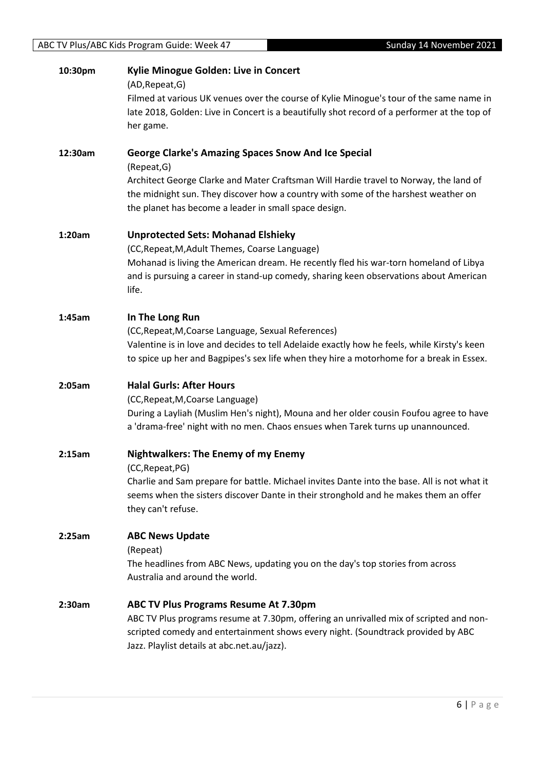| 10:30pm | Kylie Minogue Golden: Live in Concert<br>(AD, Repeat, G)<br>Filmed at various UK venues over the course of Kylie Minogue's tour of the same name in<br>late 2018, Golden: Live in Concert is a beautifully shot record of a performer at the top of<br>her game.          |
|---------|---------------------------------------------------------------------------------------------------------------------------------------------------------------------------------------------------------------------------------------------------------------------------|
| 12:30am | <b>George Clarke's Amazing Spaces Snow And Ice Special</b>                                                                                                                                                                                                                |
|         | (Repeat, G)<br>Architect George Clarke and Mater Craftsman Will Hardie travel to Norway, the land of<br>the midnight sun. They discover how a country with some of the harshest weather on<br>the planet has become a leader in small space design.                       |
| 1:20am  | <b>Unprotected Sets: Mohanad Elshieky</b>                                                                                                                                                                                                                                 |
|         | (CC, Repeat, M, Adult Themes, Coarse Language)<br>Mohanad is living the American dream. He recently fled his war-torn homeland of Libya<br>and is pursuing a career in stand-up comedy, sharing keen observations about American<br>life.                                 |
| 1:45am  | In The Long Run<br>(CC, Repeat, M, Coarse Language, Sexual References)<br>Valentine is in love and decides to tell Adelaide exactly how he feels, while Kirsty's keen<br>to spice up her and Bagpipes's sex life when they hire a motorhome for a break in Essex.         |
| 2:05am  | <b>Halal Gurls: After Hours</b>                                                                                                                                                                                                                                           |
|         | (CC, Repeat, M, Coarse Language)                                                                                                                                                                                                                                          |
|         | During a Layliah (Muslim Hen's night), Mouna and her older cousin Foufou agree to have<br>a 'drama-free' night with no men. Chaos ensues when Tarek turns up unannounced.                                                                                                 |
| 2:15am  | <b>Nightwalkers: The Enemy of my Enemy</b><br>(CC, Repeat, PG)                                                                                                                                                                                                            |
|         | Charlie and Sam prepare for battle. Michael invites Dante into the base. All is not what it<br>seems when the sisters discover Dante in their stronghold and he makes them an offer<br>they can't refuse.                                                                 |
| 2:25am  | <b>ABC News Update</b>                                                                                                                                                                                                                                                    |
|         | (Repeat)<br>The headlines from ABC News, updating you on the day's top stories from across<br>Australia and around the world.                                                                                                                                             |
| 2:30am  | <b>ABC TV Plus Programs Resume At 7.30pm</b><br>ABC TV Plus programs resume at 7.30pm, offering an unrivalled mix of scripted and non-<br>scripted comedy and entertainment shows every night. (Soundtrack provided by ABC<br>Jazz. Playlist details at abc.net.au/jazz). |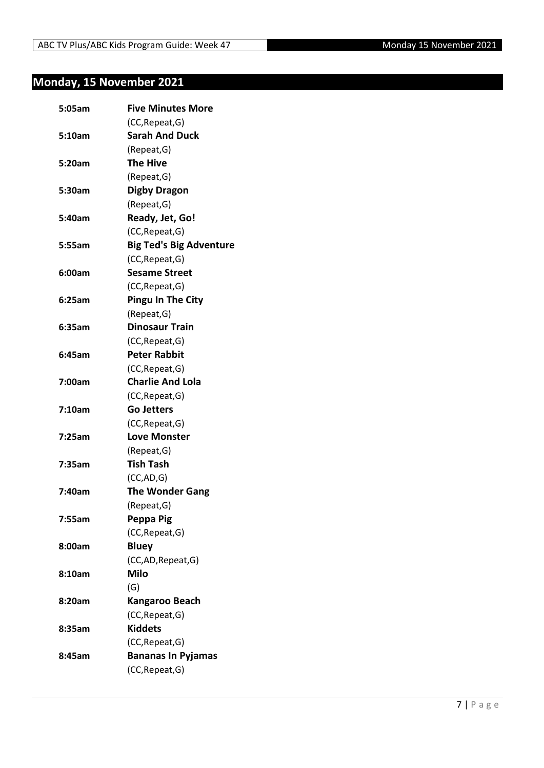# <span id="page-6-0"></span>**Monday, 15 November 2021**

| 5:05am | <b>Five Minutes More</b>       |
|--------|--------------------------------|
|        | (CC, Repeat, G)                |
| 5:10am | <b>Sarah And Duck</b>          |
|        | (Repeat, G)                    |
| 5:20am | <b>The Hive</b>                |
|        | (Repeat, G)                    |
| 5:30am | <b>Digby Dragon</b>            |
|        | (Repeat, G)                    |
| 5:40am | Ready, Jet, Go!                |
|        | (CC, Repeat, G)                |
| 5:55am | <b>Big Ted's Big Adventure</b> |
|        | (CC, Repeat, G)                |
| 6:00am | <b>Sesame Street</b>           |
|        | (CC, Repeat, G)                |
| 6:25am | <b>Pingu In The City</b>       |
|        | (Repeat, G)                    |
| 6:35am | <b>Dinosaur Train</b>          |
|        | (CC, Repeat, G)                |
| 6:45am | <b>Peter Rabbit</b>            |
|        | (CC, Repeat, G)                |
| 7:00am | <b>Charlie And Lola</b>        |
|        | (CC, Repeat, G)                |
| 7:10am | <b>Go Jetters</b>              |
|        | (CC, Repeat, G)                |
| 7:25am | <b>Love Monster</b>            |
|        | (Repeat, G)                    |
| 7:35am | <b>Tish Tash</b>               |
|        | (CC, AD, G)                    |
| 7:40am | <b>The Wonder Gang</b>         |
|        | (Repeat, G)                    |
| 7:55am | Peppa Pig                      |
|        | (CC, Repeat, G)                |
| 8:00am | <b>Bluey</b>                   |
|        | (CC,AD, Repeat, G)             |
| 8:10am | <b>Milo</b>                    |
|        | (G)                            |
| 8:20am | Kangaroo Beach                 |
|        | (CC, Repeat, G)                |
| 8:35am | <b>Kiddets</b>                 |
|        | (CC, Repeat, G)                |
| 8:45am | <b>Bananas In Pyjamas</b>      |
|        | (CC, Repeat, G)                |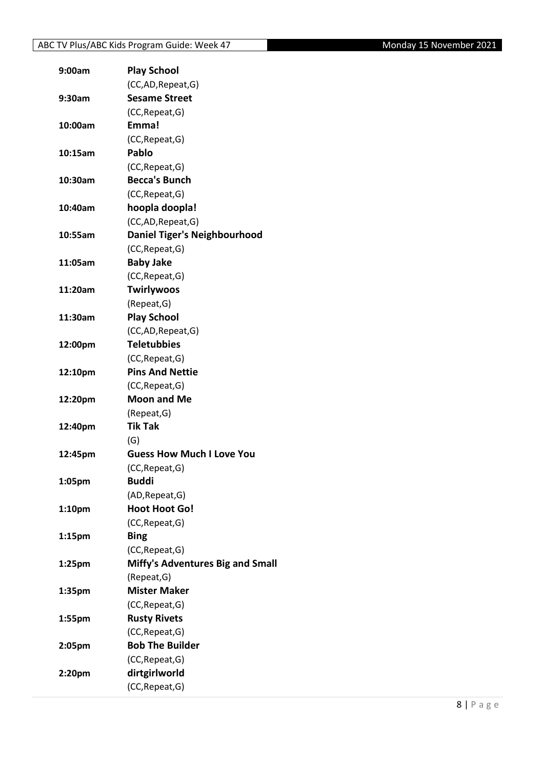| 9:00am             | <b>Play School</b>                        |
|--------------------|-------------------------------------------|
|                    | (CC,AD, Repeat, G)                        |
| 9:30am             | <b>Sesame Street</b>                      |
|                    | (CC, Repeat, G)                           |
| 10:00am            | Emma!                                     |
|                    | (CC, Repeat, G)                           |
| 10:15am            | Pablo                                     |
|                    | (CC, Repeat, G)                           |
| 10:30am            | <b>Becca's Bunch</b>                      |
|                    | (CC, Repeat, G)                           |
| 10:40am            | hoopla doopla!                            |
|                    | (CC,AD,Repeat,G)                          |
| 10:55am            | <b>Daniel Tiger's Neighbourhood</b>       |
|                    | (CC, Repeat, G)                           |
| 11:05am            | <b>Baby Jake</b>                          |
|                    | (CC, Repeat, G)                           |
| 11:20am            | <b>Twirlywoos</b>                         |
|                    | (Repeat, G)                               |
| 11:30am            | <b>Play School</b>                        |
|                    | (CC,AD, Repeat, G)                        |
| 12:00pm            | <b>Teletubbies</b>                        |
|                    | (CC, Repeat, G)                           |
| 12:10pm            | <b>Pins And Nettie</b>                    |
|                    | (CC, Repeat, G)                           |
| 12:20pm            | <b>Moon and Me</b>                        |
|                    | (Repeat, G)                               |
| 12:40pm            | <b>Tik Tak</b>                            |
|                    | (G)                                       |
| 12:45pm            | <b>Guess How Much I Love You</b>          |
|                    | (CC, Repeat, G)                           |
| 1:05pm             | <b>Buddi</b>                              |
|                    | (AD, Repeat, G)                           |
| 1:10pm             | <b>Hoot Hoot Go!</b>                      |
|                    | (CC, Repeat, G)                           |
| 1:15 <sub>pm</sub> | <b>Bing</b>                               |
|                    | (CC, Repeat, G)                           |
| 1:25 <sub>pm</sub> | <b>Miffy's Adventures Big and Small</b>   |
|                    | (Repeat, G)                               |
| 1:35pm             | <b>Mister Maker</b>                       |
|                    | (CC, Repeat, G)                           |
| 1:55pm             | <b>Rusty Rivets</b>                       |
|                    | (CC, Repeat, G)<br><b>Bob The Builder</b> |
| 2:05pm             |                                           |
|                    | (CC, Repeat, G)                           |
| 2:20pm             | dirtgirlworld                             |
|                    | (CC, Repeat, G)                           |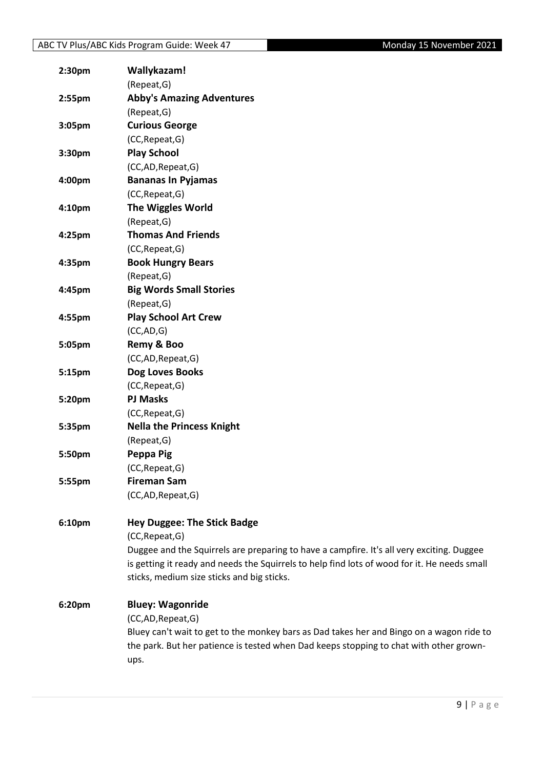| 2:30pm    | Wallykazam!                                                                                                                                |
|-----------|--------------------------------------------------------------------------------------------------------------------------------------------|
|           | (Repeat, G)                                                                                                                                |
| $2:55$ pm | <b>Abby's Amazing Adventures</b>                                                                                                           |
|           | (Repeat, G)                                                                                                                                |
| 3:05pm    | <b>Curious George</b>                                                                                                                      |
|           | (CC, Repeat, G)                                                                                                                            |
| 3:30pm    | <b>Play School</b>                                                                                                                         |
|           | (CC,AD,Repeat,G)                                                                                                                           |
| 4:00pm    | <b>Bananas In Pyjamas</b>                                                                                                                  |
|           | (CC, Repeat, G)                                                                                                                            |
| 4:10pm    | <b>The Wiggles World</b>                                                                                                                   |
|           | (Repeat, G)                                                                                                                                |
| 4:25pm    | <b>Thomas And Friends</b>                                                                                                                  |
|           | (CC, Repeat, G)                                                                                                                            |
| 4:35pm    | <b>Book Hungry Bears</b>                                                                                                                   |
|           | (Repeat, G)                                                                                                                                |
| 4:45pm    | <b>Big Words Small Stories</b>                                                                                                             |
|           | (Repeat, G)                                                                                                                                |
| 4:55pm    | <b>Play School Art Crew</b>                                                                                                                |
|           | (CC, AD, G)                                                                                                                                |
| 5:05pm    | Remy & Boo                                                                                                                                 |
|           | (CC,AD,Repeat,G)                                                                                                                           |
| 5:15pm    | Dog Loves Books                                                                                                                            |
|           | (CC, Repeat, G)                                                                                                                            |
| 5:20pm    | <b>PJ Masks</b>                                                                                                                            |
|           | (CC, Repeat, G)                                                                                                                            |
| 5:35pm    | <b>Nella the Princess Knight</b>                                                                                                           |
|           | (Repeat, G)                                                                                                                                |
| 5:50pm    | Peppa Pig                                                                                                                                  |
|           | (CC, Repeat, G)                                                                                                                            |
| 5:55pm    | <b>Fireman Sam</b>                                                                                                                         |
|           | (CC,AD,Repeat,G)                                                                                                                           |
|           |                                                                                                                                            |
| 6:10pm    | <b>Hey Duggee: The Stick Badge</b>                                                                                                         |
|           | (CC, Repeat, G)                                                                                                                            |
|           | Duggee and the Squirrels are preparing to have a campfire. It's all very exciting. Duggee                                                  |
|           | is getting it ready and needs the Squirrels to help find lots of wood for it. He needs small<br>sticks, medium size sticks and big sticks. |
|           |                                                                                                                                            |
| 6:20pm    | <b>Bluey: Wagonride</b>                                                                                                                    |
|           | (CC,AD, Repeat, G)                                                                                                                         |
|           | Bluey can't wait to get to the monkey bars as Dad takes her and Bingo on a wagon ride to                                                   |
|           | the park. But her patience is tested when Dad keeps stopping to chat with other grown-                                                     |
|           | ups.                                                                                                                                       |
|           |                                                                                                                                            |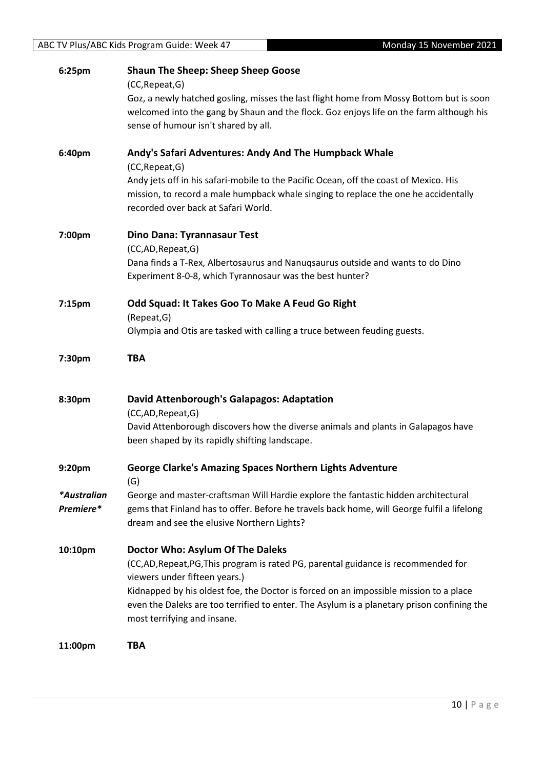| 6:25pm      | <b>Shaun The Sheep: Sheep Sheep Goose</b>                                                                  |
|-------------|------------------------------------------------------------------------------------------------------------|
|             | (CC, Repeat, G)<br>Goz, a newly hatched gosling, misses the last flight home from Mossy Bottom but is soon |
|             | welcomed into the gang by Shaun and the flock. Goz enjoys life on the farm although his                    |
|             | sense of humour isn't shared by all.                                                                       |
|             |                                                                                                            |
| 6:40pm      | Andy's Safari Adventures: Andy And The Humpback Whale                                                      |
|             | (CC, Repeat, G)                                                                                            |
|             | Andy jets off in his safari-mobile to the Pacific Ocean, off the coast of Mexico. His                      |
|             | mission, to record a male humpback whale singing to replace the one he accidentally                        |
|             | recorded over back at Safari World.                                                                        |
| 7:00pm      |                                                                                                            |
|             | Dino Dana: Tyrannasaur Test<br>(CC,AD,Repeat,G)                                                            |
|             | Dana finds a T-Rex, Albertosaurus and Nanuqsaurus outside and wants to do Dino                             |
|             | Experiment 8-0-8, which Tyrannosaur was the best hunter?                                                   |
|             |                                                                                                            |
| 7:15pm      | Odd Squad: It Takes Goo To Make A Feud Go Right                                                            |
|             | (Repeat, G)                                                                                                |
|             | Olympia and Otis are tasked with calling a truce between feuding guests.                                   |
|             | <b>TBA</b>                                                                                                 |
| 7:30pm      |                                                                                                            |
|             |                                                                                                            |
| 8:30pm      | David Attenborough's Galapagos: Adaptation                                                                 |
|             | (CC,AD,Repeat,G)                                                                                           |
|             | David Attenborough discovers how the diverse animals and plants in Galapagos have                          |
|             | been shaped by its rapidly shifting landscape.                                                             |
|             |                                                                                                            |
| 9:20pm      | <b>George Clarke's Amazing Spaces Northern Lights Adventure</b><br>(G)                                     |
| *Australian | George and master-craftsman Will Hardie explore the fantastic hidden architectural                         |
| Premiere*   | gems that Finland has to offer. Before he travels back home, will George fulfil a lifelong                 |
|             | dream and see the elusive Northern Lights?                                                                 |
|             |                                                                                                            |
| 10:10pm     | Doctor Who: Asylum Of The Daleks                                                                           |
|             | (CC,AD,Repeat,PG,This program is rated PG, parental guidance is recommended for                            |
|             | viewers under fifteen years.)                                                                              |
|             | Kidnapped by his oldest foe, the Doctor is forced on an impossible mission to a place                      |
|             | even the Daleks are too terrified to enter. The Asylum is a planetary prison confining the                 |
|             | most terrifying and insane.                                                                                |
| 11:00pm     | TBA                                                                                                        |
|             |                                                                                                            |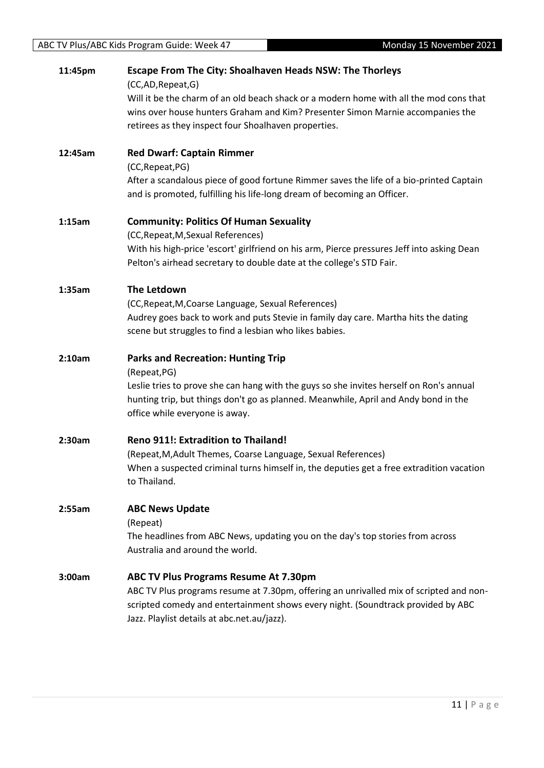| 11:45pm | <b>Escape From The City: Shoalhaven Heads NSW: The Thorleys</b>                                                                                                    |
|---------|--------------------------------------------------------------------------------------------------------------------------------------------------------------------|
|         | (CC,AD,Repeat,G)                                                                                                                                                   |
|         | Will it be the charm of an old beach shack or a modern home with all the mod cons that                                                                             |
|         | wins over house hunters Graham and Kim? Presenter Simon Marnie accompanies the                                                                                     |
|         | retirees as they inspect four Shoalhaven properties.                                                                                                               |
| 12:45am | <b>Red Dwarf: Captain Rimmer</b>                                                                                                                                   |
|         | (CC, Repeat, PG)                                                                                                                                                   |
|         | After a scandalous piece of good fortune Rimmer saves the life of a bio-printed Captain                                                                            |
|         | and is promoted, fulfilling his life-long dream of becoming an Officer.                                                                                            |
| 1:15am  | <b>Community: Politics Of Human Sexuality</b>                                                                                                                      |
|         | (CC, Repeat, M, Sexual References)                                                                                                                                 |
|         | With his high-price 'escort' girlfriend on his arm, Pierce pressures Jeff into asking Dean<br>Pelton's airhead secretary to double date at the college's STD Fair. |
|         |                                                                                                                                                                    |
| 1:35am  | The Letdown                                                                                                                                                        |
|         | (CC, Repeat, M, Coarse Language, Sexual References)                                                                                                                |
|         | Audrey goes back to work and puts Stevie in family day care. Martha hits the dating                                                                                |
|         | scene but struggles to find a lesbian who likes babies.                                                                                                            |
| 2:10am  | <b>Parks and Recreation: Hunting Trip</b>                                                                                                                          |
|         | (Repeat, PG)                                                                                                                                                       |
|         | Leslie tries to prove she can hang with the guys so she invites herself on Ron's annual                                                                            |
|         | hunting trip, but things don't go as planned. Meanwhile, April and Andy bond in the                                                                                |
|         | office while everyone is away.                                                                                                                                     |
| 2:30am  | Reno 911!: Extradition to Thailand!                                                                                                                                |
|         | (Repeat, M, Adult Themes, Coarse Language, Sexual References)                                                                                                      |
|         | When a suspected criminal turns himself in, the deputies get a free extradition vacation                                                                           |
|         | to Thailand.                                                                                                                                                       |
| 2:55am  | <b>ABC News Update</b>                                                                                                                                             |
|         | (Repeat)                                                                                                                                                           |
|         | The headlines from ABC News, updating you on the day's top stories from across                                                                                     |
|         | Australia and around the world.                                                                                                                                    |
| 3:00am  | <b>ABC TV Plus Programs Resume At 7.30pm</b>                                                                                                                       |
|         | ABC TV Plus programs resume at 7.30pm, offering an unrivalled mix of scripted and non-                                                                             |
|         | scripted comedy and entertainment shows every night. (Soundtrack provided by ABC                                                                                   |
|         | Jazz. Playlist details at abc.net.au/jazz).                                                                                                                        |
|         |                                                                                                                                                                    |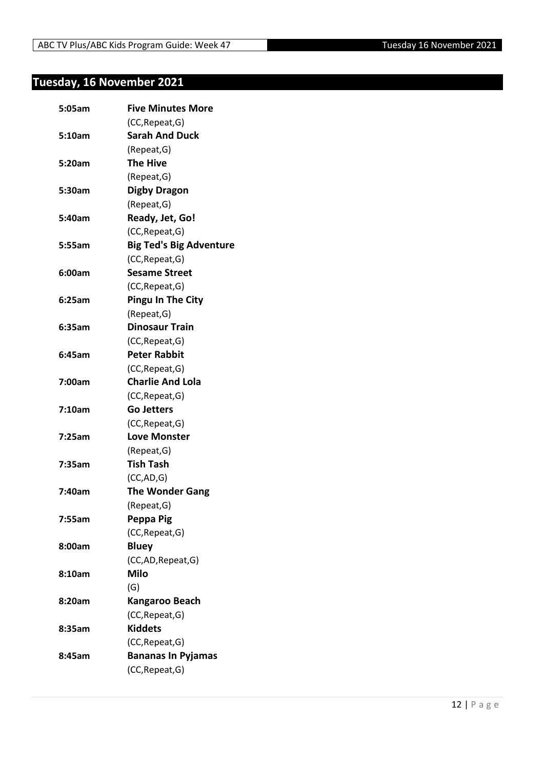# <span id="page-11-0"></span>**Tuesday, 16 November 2021**

| (CC, Repeat, G)<br><b>Sarah And Duck</b><br>5:10am<br>(Repeat, G)<br><b>The Hive</b><br>5:20am<br>(Repeat, G)<br><b>Digby Dragon</b><br>5:30am<br>(Repeat, G)<br>Ready, Jet, Go!<br>5:40am<br>(CC, Repeat, G)<br><b>Big Ted's Big Adventure</b><br>5:55am<br>(CC, Repeat, G)<br><b>Sesame Street</b><br>6:00am<br>(CC, Repeat, G)<br><b>Pingu In The City</b><br>6:25am<br>(Repeat, G)<br><b>Dinosaur Train</b><br>6:35am<br>(CC, Repeat, G)<br><b>Peter Rabbit</b><br>6:45am<br>(CC, Repeat, G)<br><b>Charlie And Lola</b><br>7:00am<br>(CC, Repeat, G)<br>7:10am<br><b>Go Jetters</b><br>(CC, Repeat, G)<br><b>Love Monster</b><br>7:25am<br>(Repeat, G)<br><b>Tish Tash</b><br>7:35am<br>(CC, AD, G)<br><b>The Wonder Gang</b><br>7:40am<br>(Repeat, G)<br>Peppa Pig<br>7:55am<br>(CC, Repeat, G)<br><b>Bluey</b><br>8:00am<br>(CC,AD, Repeat, G)<br><b>Milo</b><br>8:10am<br>(G)<br>8:20am<br>Kangaroo Beach<br>(CC, Repeat, G)<br><b>Kiddets</b><br>8:35am<br>(CC, Repeat, G)<br><b>Bananas In Pyjamas</b><br>8:45am<br>(CC, Repeat, G) | 5:05am | <b>Five Minutes More</b> |
|----------------------------------------------------------------------------------------------------------------------------------------------------------------------------------------------------------------------------------------------------------------------------------------------------------------------------------------------------------------------------------------------------------------------------------------------------------------------------------------------------------------------------------------------------------------------------------------------------------------------------------------------------------------------------------------------------------------------------------------------------------------------------------------------------------------------------------------------------------------------------------------------------------------------------------------------------------------------------------------------------------------------------------------------|--------|--------------------------|
|                                                                                                                                                                                                                                                                                                                                                                                                                                                                                                                                                                                                                                                                                                                                                                                                                                                                                                                                                                                                                                              |        |                          |
|                                                                                                                                                                                                                                                                                                                                                                                                                                                                                                                                                                                                                                                                                                                                                                                                                                                                                                                                                                                                                                              |        |                          |
|                                                                                                                                                                                                                                                                                                                                                                                                                                                                                                                                                                                                                                                                                                                                                                                                                                                                                                                                                                                                                                              |        |                          |
|                                                                                                                                                                                                                                                                                                                                                                                                                                                                                                                                                                                                                                                                                                                                                                                                                                                                                                                                                                                                                                              |        |                          |
|                                                                                                                                                                                                                                                                                                                                                                                                                                                                                                                                                                                                                                                                                                                                                                                                                                                                                                                                                                                                                                              |        |                          |
|                                                                                                                                                                                                                                                                                                                                                                                                                                                                                                                                                                                                                                                                                                                                                                                                                                                                                                                                                                                                                                              |        |                          |
|                                                                                                                                                                                                                                                                                                                                                                                                                                                                                                                                                                                                                                                                                                                                                                                                                                                                                                                                                                                                                                              |        |                          |
|                                                                                                                                                                                                                                                                                                                                                                                                                                                                                                                                                                                                                                                                                                                                                                                                                                                                                                                                                                                                                                              |        |                          |
|                                                                                                                                                                                                                                                                                                                                                                                                                                                                                                                                                                                                                                                                                                                                                                                                                                                                                                                                                                                                                                              |        |                          |
|                                                                                                                                                                                                                                                                                                                                                                                                                                                                                                                                                                                                                                                                                                                                                                                                                                                                                                                                                                                                                                              |        |                          |
|                                                                                                                                                                                                                                                                                                                                                                                                                                                                                                                                                                                                                                                                                                                                                                                                                                                                                                                                                                                                                                              |        |                          |
|                                                                                                                                                                                                                                                                                                                                                                                                                                                                                                                                                                                                                                                                                                                                                                                                                                                                                                                                                                                                                                              |        |                          |
|                                                                                                                                                                                                                                                                                                                                                                                                                                                                                                                                                                                                                                                                                                                                                                                                                                                                                                                                                                                                                                              |        |                          |
|                                                                                                                                                                                                                                                                                                                                                                                                                                                                                                                                                                                                                                                                                                                                                                                                                                                                                                                                                                                                                                              |        |                          |
|                                                                                                                                                                                                                                                                                                                                                                                                                                                                                                                                                                                                                                                                                                                                                                                                                                                                                                                                                                                                                                              |        |                          |
|                                                                                                                                                                                                                                                                                                                                                                                                                                                                                                                                                                                                                                                                                                                                                                                                                                                                                                                                                                                                                                              |        |                          |
|                                                                                                                                                                                                                                                                                                                                                                                                                                                                                                                                                                                                                                                                                                                                                                                                                                                                                                                                                                                                                                              |        |                          |
|                                                                                                                                                                                                                                                                                                                                                                                                                                                                                                                                                                                                                                                                                                                                                                                                                                                                                                                                                                                                                                              |        |                          |
|                                                                                                                                                                                                                                                                                                                                                                                                                                                                                                                                                                                                                                                                                                                                                                                                                                                                                                                                                                                                                                              |        |                          |
|                                                                                                                                                                                                                                                                                                                                                                                                                                                                                                                                                                                                                                                                                                                                                                                                                                                                                                                                                                                                                                              |        |                          |
|                                                                                                                                                                                                                                                                                                                                                                                                                                                                                                                                                                                                                                                                                                                                                                                                                                                                                                                                                                                                                                              |        |                          |
|                                                                                                                                                                                                                                                                                                                                                                                                                                                                                                                                                                                                                                                                                                                                                                                                                                                                                                                                                                                                                                              |        |                          |
|                                                                                                                                                                                                                                                                                                                                                                                                                                                                                                                                                                                                                                                                                                                                                                                                                                                                                                                                                                                                                                              |        |                          |
|                                                                                                                                                                                                                                                                                                                                                                                                                                                                                                                                                                                                                                                                                                                                                                                                                                                                                                                                                                                                                                              |        |                          |
|                                                                                                                                                                                                                                                                                                                                                                                                                                                                                                                                                                                                                                                                                                                                                                                                                                                                                                                                                                                                                                              |        |                          |
|                                                                                                                                                                                                                                                                                                                                                                                                                                                                                                                                                                                                                                                                                                                                                                                                                                                                                                                                                                                                                                              |        |                          |
|                                                                                                                                                                                                                                                                                                                                                                                                                                                                                                                                                                                                                                                                                                                                                                                                                                                                                                                                                                                                                                              |        |                          |
|                                                                                                                                                                                                                                                                                                                                                                                                                                                                                                                                                                                                                                                                                                                                                                                                                                                                                                                                                                                                                                              |        |                          |
|                                                                                                                                                                                                                                                                                                                                                                                                                                                                                                                                                                                                                                                                                                                                                                                                                                                                                                                                                                                                                                              |        |                          |
|                                                                                                                                                                                                                                                                                                                                                                                                                                                                                                                                                                                                                                                                                                                                                                                                                                                                                                                                                                                                                                              |        |                          |
|                                                                                                                                                                                                                                                                                                                                                                                                                                                                                                                                                                                                                                                                                                                                                                                                                                                                                                                                                                                                                                              |        |                          |
|                                                                                                                                                                                                                                                                                                                                                                                                                                                                                                                                                                                                                                                                                                                                                                                                                                                                                                                                                                                                                                              |        |                          |
|                                                                                                                                                                                                                                                                                                                                                                                                                                                                                                                                                                                                                                                                                                                                                                                                                                                                                                                                                                                                                                              |        |                          |
|                                                                                                                                                                                                                                                                                                                                                                                                                                                                                                                                                                                                                                                                                                                                                                                                                                                                                                                                                                                                                                              |        |                          |
|                                                                                                                                                                                                                                                                                                                                                                                                                                                                                                                                                                                                                                                                                                                                                                                                                                                                                                                                                                                                                                              |        |                          |
|                                                                                                                                                                                                                                                                                                                                                                                                                                                                                                                                                                                                                                                                                                                                                                                                                                                                                                                                                                                                                                              |        |                          |
|                                                                                                                                                                                                                                                                                                                                                                                                                                                                                                                                                                                                                                                                                                                                                                                                                                                                                                                                                                                                                                              |        |                          |
|                                                                                                                                                                                                                                                                                                                                                                                                                                                                                                                                                                                                                                                                                                                                                                                                                                                                                                                                                                                                                                              |        |                          |
|                                                                                                                                                                                                                                                                                                                                                                                                                                                                                                                                                                                                                                                                                                                                                                                                                                                                                                                                                                                                                                              |        |                          |
|                                                                                                                                                                                                                                                                                                                                                                                                                                                                                                                                                                                                                                                                                                                                                                                                                                                                                                                                                                                                                                              |        |                          |
|                                                                                                                                                                                                                                                                                                                                                                                                                                                                                                                                                                                                                                                                                                                                                                                                                                                                                                                                                                                                                                              |        |                          |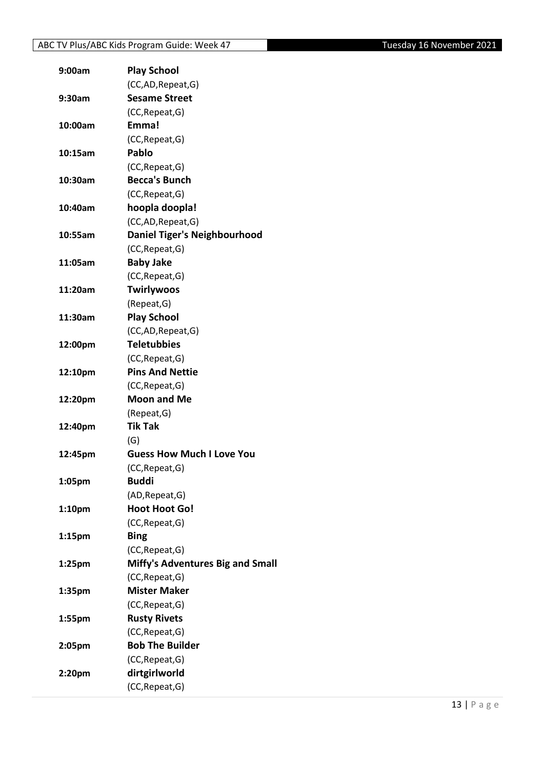| 9:00am  | <b>Play School</b>                      |
|---------|-----------------------------------------|
|         | (CC,AD, Repeat, G)                      |
| 9:30am  | <b>Sesame Street</b>                    |
|         | (CC, Repeat, G)                         |
| 10:00am | Emma!                                   |
|         | (CC, Repeat, G)                         |
| 10:15am | Pablo                                   |
|         | (CC, Repeat, G)                         |
| 10:30am | <b>Becca's Bunch</b>                    |
|         | (CC, Repeat, G)                         |
| 10:40am | hoopla doopla!                          |
|         | (CC,AD, Repeat, G)                      |
| 10:55am | <b>Daniel Tiger's Neighbourhood</b>     |
|         | (CC, Repeat, G)                         |
| 11:05am | <b>Baby Jake</b>                        |
|         | (CC, Repeat, G)                         |
| 11:20am | <b>Twirlywoos</b>                       |
|         | (Repeat, G)                             |
| 11:30am | <b>Play School</b>                      |
|         | (CC,AD, Repeat, G)                      |
| 12:00pm | <b>Teletubbies</b>                      |
|         | (CC, Repeat, G)                         |
| 12:10pm | <b>Pins And Nettie</b>                  |
|         | (CC, Repeat, G)                         |
| 12:20pm | <b>Moon and Me</b>                      |
|         | (Repeat, G)                             |
| 12:40pm | <b>Tik Tak</b>                          |
|         | (G)                                     |
| 12:45pm | <b>Guess How Much I Love You</b>        |
|         | (CC, Repeat, G)                         |
| 1:05pm  | <b>Buddi</b>                            |
|         | (AD, Repeat, G)                         |
| 1:10pm  | <b>Hoot Hoot Go!</b>                    |
|         | (CC, Repeat, G)                         |
| 1:15pm  | <b>Bing</b>                             |
|         | (CC, Repeat, G)                         |
| 1:25pm  | <b>Miffy's Adventures Big and Small</b> |
|         | (CC, Repeat, G)                         |
| 1:35pm  | <b>Mister Maker</b>                     |
|         | (CC, Repeat, G)                         |
| 1:55pm  | <b>Rusty Rivets</b>                     |
|         | (CC, Repeat, G)                         |
| 2:05pm  | <b>Bob The Builder</b>                  |
|         | (CC, Repeat, G)                         |
| 2:20pm  | dirtgirlworld                           |
|         | (CC, Repeat, G)                         |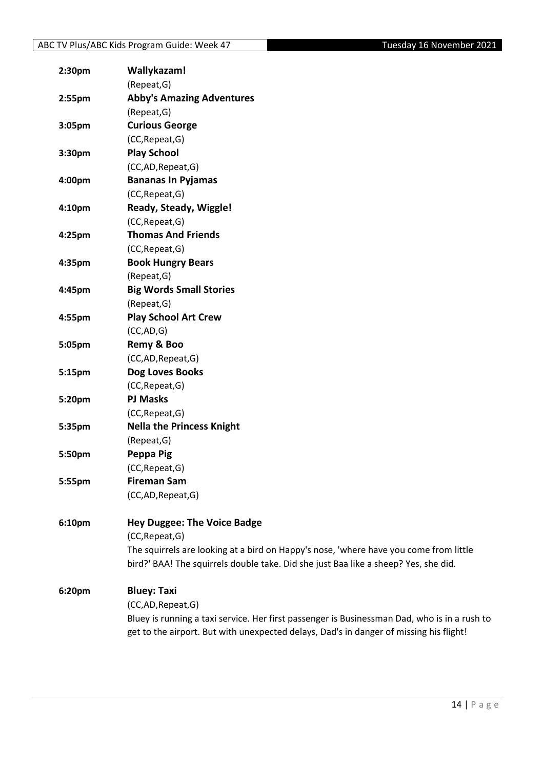| 2:30pm | Wallykazam!                                                                                                                                                                  |
|--------|------------------------------------------------------------------------------------------------------------------------------------------------------------------------------|
|        | (Repeat, G)                                                                                                                                                                  |
| 2:55pm | <b>Abby's Amazing Adventures</b>                                                                                                                                             |
|        | (Repeat, G)                                                                                                                                                                  |
| 3:05pm | <b>Curious George</b>                                                                                                                                                        |
|        | (CC, Repeat, G)                                                                                                                                                              |
| 3:30pm | <b>Play School</b>                                                                                                                                                           |
|        | (CC,AD,Repeat,G)                                                                                                                                                             |
| 4:00pm | <b>Bananas In Pyjamas</b>                                                                                                                                                    |
|        | (CC, Repeat, G)                                                                                                                                                              |
| 4:10pm | Ready, Steady, Wiggle!                                                                                                                                                       |
|        | (CC, Repeat, G)                                                                                                                                                              |
| 4:25pm | <b>Thomas And Friends</b>                                                                                                                                                    |
|        | (CC, Repeat, G)                                                                                                                                                              |
| 4:35pm | <b>Book Hungry Bears</b>                                                                                                                                                     |
|        | (Repeat, G)                                                                                                                                                                  |
| 4:45pm | <b>Big Words Small Stories</b>                                                                                                                                               |
|        | (Repeat, G)                                                                                                                                                                  |
| 4:55pm | <b>Play School Art Crew</b>                                                                                                                                                  |
|        | (CC,AD,G)                                                                                                                                                                    |
| 5:05pm | Remy & Boo                                                                                                                                                                   |
|        | (CC,AD,Repeat,G)                                                                                                                                                             |
| 5:15pm | Dog Loves Books                                                                                                                                                              |
|        | (CC, Repeat, G)                                                                                                                                                              |
| 5:20pm | <b>PJ Masks</b>                                                                                                                                                              |
|        | (CC, Repeat, G)                                                                                                                                                              |
| 5:35pm | <b>Nella the Princess Knight</b>                                                                                                                                             |
|        | (Repeat, G)                                                                                                                                                                  |
| 5:50pm | Peppa Pig                                                                                                                                                                    |
|        | (CC, Repeat, G)                                                                                                                                                              |
| 5:55pm | <b>Fireman Sam</b>                                                                                                                                                           |
|        | (CC,AD, Repeat, G)                                                                                                                                                           |
| 6:10pm | <b>Hey Duggee: The Voice Badge</b>                                                                                                                                           |
|        | (CC, Repeat, G)                                                                                                                                                              |
|        | The squirrels are looking at a bird on Happy's nose, 'where have you come from little<br>bird?' BAA! The squirrels double take. Did she just Baa like a sheep? Yes, she did. |
|        |                                                                                                                                                                              |
| 6:20pm | <b>Bluey: Taxi</b>                                                                                                                                                           |
|        | (CC,AD,Repeat,G)                                                                                                                                                             |
|        | Bluey is running a taxi service. Her first passenger is Businessman Dad, who is in a rush to                                                                                 |
|        | get to the airport. But with unexpected delays, Dad's in danger of missing his flight!                                                                                       |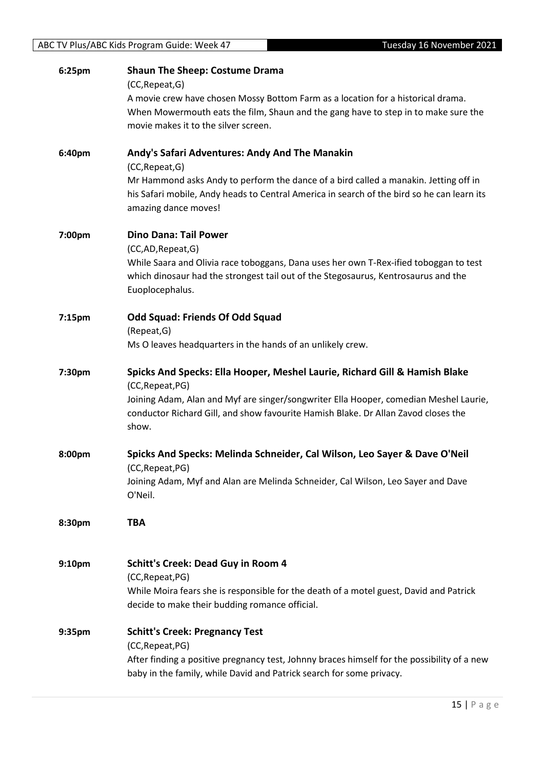| 6:25pm             | <b>Shaun The Sheep: Costume Drama</b>                                                                              |
|--------------------|--------------------------------------------------------------------------------------------------------------------|
|                    | (CC, Repeat, G)<br>A movie crew have chosen Mossy Bottom Farm as a location for a historical drama.                |
|                    | When Mowermouth eats the film, Shaun and the gang have to step in to make sure the                                 |
|                    | movie makes it to the silver screen.                                                                               |
| 6:40pm             | Andy's Safari Adventures: Andy And The Manakin                                                                     |
|                    | (CC, Repeat, G)                                                                                                    |
|                    | Mr Hammond asks Andy to perform the dance of a bird called a manakin. Jetting off in                               |
|                    | his Safari mobile, Andy heads to Central America in search of the bird so he can learn its<br>amazing dance moves! |
|                    |                                                                                                                    |
| 7:00pm             | <b>Dino Dana: Tail Power</b>                                                                                       |
|                    | (CC,AD,Repeat,G)<br>While Saara and Olivia race toboggans, Dana uses her own T-Rex-ified toboggan to test          |
|                    | which dinosaur had the strongest tail out of the Stegosaurus, Kentrosaurus and the                                 |
|                    | Euoplocephalus.                                                                                                    |
| 7:15 <sub>pm</sub> | <b>Odd Squad: Friends Of Odd Squad</b>                                                                             |
|                    | (Repeat, G)                                                                                                        |
|                    | Ms O leaves headquarters in the hands of an unlikely crew.                                                         |
| 7:30pm             | Spicks And Specks: Ella Hooper, Meshel Laurie, Richard Gill & Hamish Blake                                         |
|                    | (CC, Repeat, PG)                                                                                                   |
|                    | Joining Adam, Alan and Myf are singer/songwriter Ella Hooper, comedian Meshel Laurie,                              |
|                    | conductor Richard Gill, and show favourite Hamish Blake. Dr Allan Zavod closes the<br>show.                        |
|                    |                                                                                                                    |
| 8:00pm             | Spicks And Specks: Melinda Schneider, Cal Wilson, Leo Sayer & Dave O'Neil                                          |
|                    | (CC, Repeat, PG)<br>Joining Adam, Myf and Alan are Melinda Schneider, Cal Wilson, Leo Sayer and Dave               |
|                    | O'Neil.                                                                                                            |
| 8:30pm             | <b>TBA</b>                                                                                                         |
|                    |                                                                                                                    |
| 9:10pm             | <b>Schitt's Creek: Dead Guy in Room 4</b>                                                                          |
|                    | (CC, Repeat, PG)                                                                                                   |
|                    | While Moira fears she is responsible for the death of a motel guest, David and Patrick                             |
|                    | decide to make their budding romance official.                                                                     |
| 9:35pm             | <b>Schitt's Creek: Pregnancy Test</b>                                                                              |
|                    | (CC, Repeat, PG)<br>After finding a positive pregnancy test, Johnny braces himself for the possibility of a new    |
|                    | baby in the family, while David and Patrick search for some privacy.                                               |
|                    |                                                                                                                    |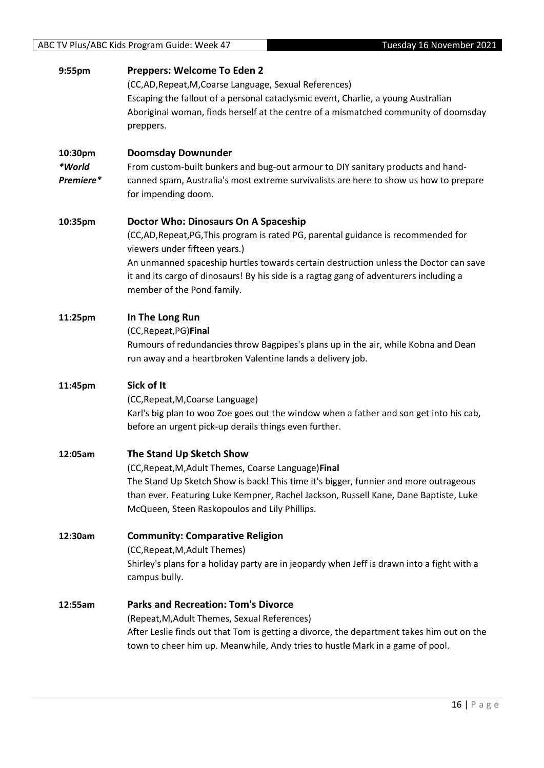| 9:55pm                         | Preppers: Welcome To Eden 2<br>(CC,AD, Repeat, M, Coarse Language, Sexual References)<br>Escaping the fallout of a personal cataclysmic event, Charlie, a young Australian<br>Aboriginal woman, finds herself at the centre of a mismatched community of doomsday<br>preppers.                                                                                           |
|--------------------------------|--------------------------------------------------------------------------------------------------------------------------------------------------------------------------------------------------------------------------------------------------------------------------------------------------------------------------------------------------------------------------|
| 10:30pm<br>*World<br>Premiere* | <b>Doomsday Downunder</b><br>From custom-built bunkers and bug-out armour to DIY sanitary products and hand-<br>canned spam, Australia's most extreme survivalists are here to show us how to prepare<br>for impending doom.                                                                                                                                             |
| 10:35pm                        | Doctor Who: Dinosaurs On A Spaceship<br>(CC,AD,Repeat,PG,This program is rated PG, parental guidance is recommended for<br>viewers under fifteen years.)<br>An unmanned spaceship hurtles towards certain destruction unless the Doctor can save<br>it and its cargo of dinosaurs! By his side is a ragtag gang of adventurers including a<br>member of the Pond family. |
| 11:25pm                        | In The Long Run<br>(CC, Repeat, PG) Final<br>Rumours of redundancies throw Bagpipes's plans up in the air, while Kobna and Dean<br>run away and a heartbroken Valentine lands a delivery job.                                                                                                                                                                            |
| 11:45pm                        | Sick of It<br>(CC, Repeat, M, Coarse Language)<br>Karl's big plan to woo Zoe goes out the window when a father and son get into his cab,<br>before an urgent pick-up derails things even further.                                                                                                                                                                        |
| 12:05am                        | The Stand Up Sketch Show<br>(CC, Repeat, M, Adult Themes, Coarse Language) Final<br>The Stand Up Sketch Show is back! This time it's bigger, funnier and more outrageous<br>than ever. Featuring Luke Kempner, Rachel Jackson, Russell Kane, Dane Baptiste, Luke<br>McQueen, Steen Raskopoulos and Lily Phillips.                                                        |
| 12:30am                        | <b>Community: Comparative Religion</b><br>(CC, Repeat, M, Adult Themes)<br>Shirley's plans for a holiday party are in jeopardy when Jeff is drawn into a fight with a<br>campus bully.                                                                                                                                                                                   |
| 12:55am                        | <b>Parks and Recreation: Tom's Divorce</b><br>(Repeat, M, Adult Themes, Sexual References)<br>After Leslie finds out that Tom is getting a divorce, the department takes him out on the<br>town to cheer him up. Meanwhile, Andy tries to hustle Mark in a game of pool.                                                                                                 |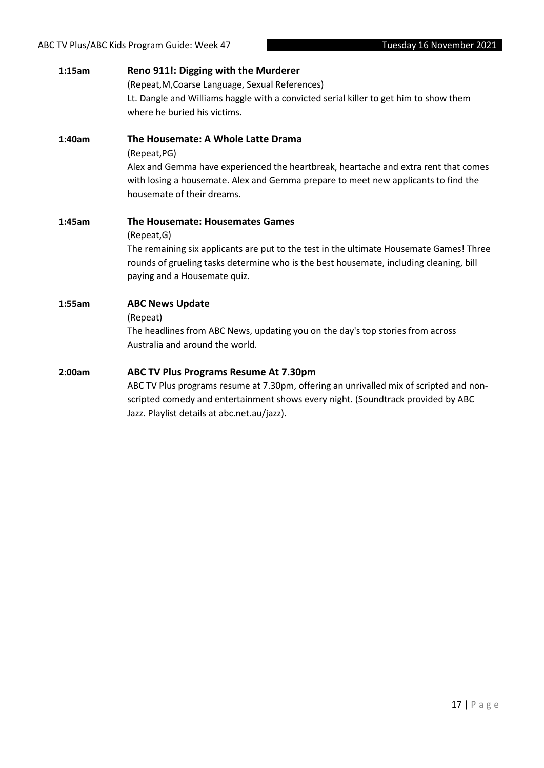| 1:15am | Reno 911!: Digging with the Murderer<br>(Repeat, M, Coarse Language, Sexual References)<br>Lt. Dangle and Williams haggle with a convicted serial killer to get him to show them<br>where he buried his victims.                                                          |
|--------|---------------------------------------------------------------------------------------------------------------------------------------------------------------------------------------------------------------------------------------------------------------------------|
| 1:40am | The Housemate: A Whole Latte Drama<br>(Repeat, PG)<br>Alex and Gemma have experienced the heartbreak, heartache and extra rent that comes<br>with losing a housemate. Alex and Gemma prepare to meet new applicants to find the<br>housemate of their dreams.             |
| 1:45am | The Housemate: Housemates Games<br>(Repeat, G)<br>The remaining six applicants are put to the test in the ultimate Housemate Games! Three<br>rounds of grueling tasks determine who is the best housemate, including cleaning, bill<br>paying and a Housemate quiz.       |
| 1:55am | <b>ABC News Update</b><br>(Repeat)<br>The headlines from ABC News, updating you on the day's top stories from across<br>Australia and around the world.                                                                                                                   |
| 2:00am | <b>ABC TV Plus Programs Resume At 7.30pm</b><br>ABC TV Plus programs resume at 7.30pm, offering an unrivalled mix of scripted and non-<br>scripted comedy and entertainment shows every night. (Soundtrack provided by ABC<br>Jazz. Playlist details at abc.net.au/jazz). |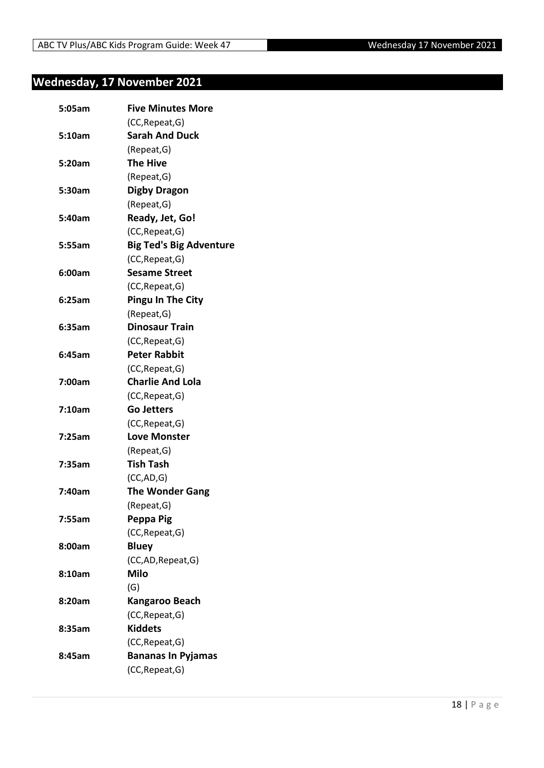# <span id="page-17-0"></span>**Wednesday, 17 November 2021**

| 5:05am | <b>Five Minutes More</b>       |
|--------|--------------------------------|
|        | (CC, Repeat, G)                |
| 5:10am | <b>Sarah And Duck</b>          |
|        | (Repeat, G)                    |
| 5:20am | <b>The Hive</b>                |
|        | (Repeat, G)                    |
| 5:30am | <b>Digby Dragon</b>            |
|        | (Repeat, G)                    |
| 5:40am | Ready, Jet, Go!                |
|        | (CC, Repeat, G)                |
| 5:55am | <b>Big Ted's Big Adventure</b> |
|        | (CC, Repeat, G)                |
| 6:00am | <b>Sesame Street</b>           |
|        | (CC, Repeat, G)                |
| 6:25am | <b>Pingu In The City</b>       |
|        | (Repeat, G)                    |
| 6:35am | <b>Dinosaur Train</b>          |
|        | (CC, Repeat, G)                |
| 6:45am | <b>Peter Rabbit</b>            |
|        | (CC, Repeat, G)                |
| 7:00am | <b>Charlie And Lola</b>        |
|        | (CC, Repeat, G)                |
| 7:10am | <b>Go Jetters</b>              |
|        | (CC, Repeat, G)                |
| 7:25am | <b>Love Monster</b>            |
|        | (Repeat, G)                    |
| 7:35am | <b>Tish Tash</b>               |
|        | (CC, AD, G)                    |
| 7:40am | <b>The Wonder Gang</b>         |
|        | (Repeat, G)                    |
| 7:55am | Peppa Pig                      |
|        | (CC, Repeat, G)                |
| 8:00am | <b>Bluey</b>                   |
|        | (CC,AD, Repeat, G)             |
| 8:10am | <b>Milo</b>                    |
|        | (G)                            |
| 8:20am | Kangaroo Beach                 |
|        | (CC, Repeat, G)                |
| 8:35am | <b>Kiddets</b>                 |
|        | (CC, Repeat, G)                |
| 8:45am | <b>Bananas In Pyjamas</b>      |
|        | (CC, Repeat, G)                |
|        |                                |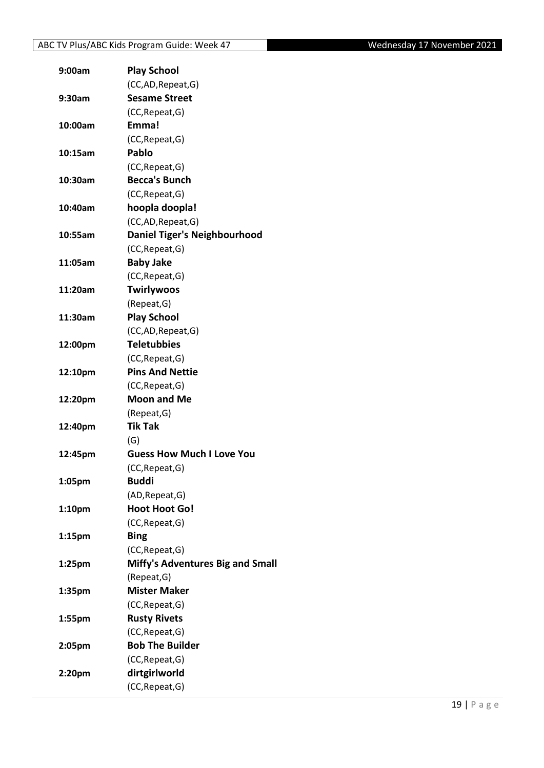| 9:00am             | <b>Play School</b>                      |
|--------------------|-----------------------------------------|
|                    | (CC,AD, Repeat, G)                      |
| 9:30am             | <b>Sesame Street</b>                    |
|                    | (CC, Repeat, G)                         |
| 10:00am            | Emma!                                   |
|                    | (CC, Repeat, G)                         |
| 10:15am            | Pablo                                   |
|                    | (CC, Repeat, G)                         |
| 10:30am            | <b>Becca's Bunch</b>                    |
|                    | (CC, Repeat, G)                         |
| 10:40am            | hoopla doopla!                          |
|                    | (CC,AD, Repeat, G)                      |
| 10:55am            | <b>Daniel Tiger's Neighbourhood</b>     |
|                    | (CC, Repeat, G)                         |
| 11:05am            | <b>Baby Jake</b>                        |
|                    | (CC, Repeat, G)                         |
| 11:20am            | <b>Twirlywoos</b>                       |
|                    | (Repeat, G)                             |
| 11:30am            | <b>Play School</b>                      |
|                    | (CC,AD, Repeat, G)                      |
| 12:00pm            | <b>Teletubbies</b>                      |
|                    | (CC, Repeat, G)                         |
| 12:10pm            | <b>Pins And Nettie</b>                  |
|                    | (CC, Repeat, G)                         |
| 12:20pm            | <b>Moon and Me</b>                      |
|                    | (Repeat, G)                             |
| 12:40pm            | <b>Tik Tak</b>                          |
|                    | (G)                                     |
| 12:45pm            | <b>Guess How Much I Love You</b>        |
|                    | (CC, Repeat, G)                         |
| 1:05pm             | <b>Buddi</b>                            |
|                    | (AD, Repeat, G)                         |
| 1:10pm             | <b>Hoot Hoot Go!</b>                    |
|                    | (CC, Repeat, G)                         |
| 1:15pm             | <b>Bing</b>                             |
|                    | (CC, Repeat, G)                         |
| 1:25 <sub>pm</sub> | <b>Miffy's Adventures Big and Small</b> |
|                    | (Repeat, G)                             |
| 1:35pm             | <b>Mister Maker</b>                     |
|                    | (CC, Repeat, G)                         |
| 1:55pm             | <b>Rusty Rivets</b>                     |
|                    | (CC, Repeat, G)                         |
| 2:05pm             | <b>Bob The Builder</b>                  |
|                    | (CC, Repeat, G)                         |
| 2:20pm             | dirtgirlworld                           |
|                    | (CC, Repeat, G)                         |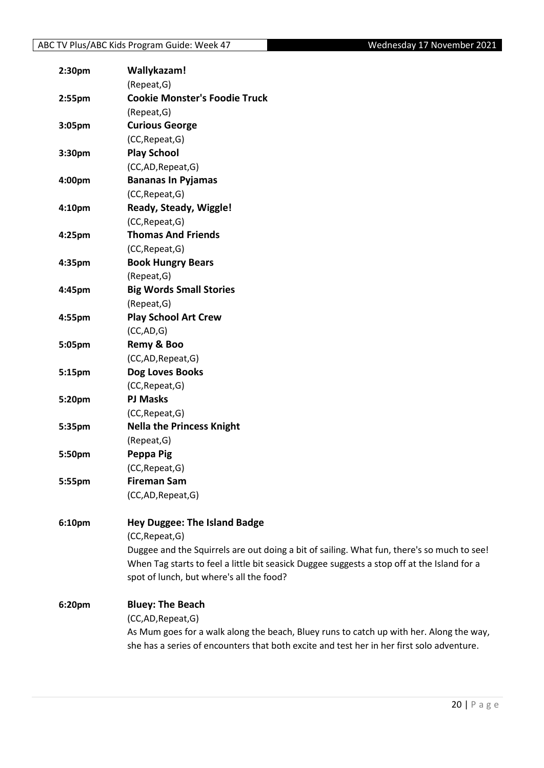| 2:30 <sub>pm</sub> | Wallykazam!                                                                                 |
|--------------------|---------------------------------------------------------------------------------------------|
|                    | (Repeat, G)                                                                                 |
| 2:55pm             | <b>Cookie Monster's Foodie Truck</b>                                                        |
|                    | (Repeat, G)                                                                                 |
| 3:05pm             | <b>Curious George</b>                                                                       |
|                    | (CC, Repeat, G)                                                                             |
| 3:30pm             | <b>Play School</b>                                                                          |
|                    | (CC,AD,Repeat,G)                                                                            |
| 4:00pm             | <b>Bananas In Pyjamas</b>                                                                   |
|                    | (CC, Repeat, G)                                                                             |
| 4:10pm             | Ready, Steady, Wiggle!                                                                      |
|                    | (CC, Repeat, G)                                                                             |
| 4:25pm             | <b>Thomas And Friends</b>                                                                   |
|                    | (CC, Repeat, G)                                                                             |
| 4:35pm             | <b>Book Hungry Bears</b>                                                                    |
|                    | (Repeat, G)                                                                                 |
| 4:45pm             | <b>Big Words Small Stories</b>                                                              |
|                    | (Repeat, G)                                                                                 |
| 4:55pm             | <b>Play School Art Crew</b>                                                                 |
|                    | (CC, AD, G)                                                                                 |
| 5:05pm             | Remy & Boo                                                                                  |
|                    | (CC,AD, Repeat, G)                                                                          |
| 5:15pm             | Dog Loves Books                                                                             |
|                    | (CC, Repeat, G)                                                                             |
| 5:20pm             | <b>PJ Masks</b>                                                                             |
|                    | (CC, Repeat, G)                                                                             |
| 5:35pm             | <b>Nella the Princess Knight</b>                                                            |
|                    | (Repeat, G)                                                                                 |
| 5:50pm             | Peppa Pig                                                                                   |
|                    | (CC, Repeat, G)                                                                             |
| 5:55pm             | <b>Fireman Sam</b>                                                                          |
|                    | (CC,AD, Repeat, G)                                                                          |
| 6:10pm             | <b>Hey Duggee: The Island Badge</b>                                                         |
|                    | (CC, Repeat, G)                                                                             |
|                    | Duggee and the Squirrels are out doing a bit of sailing. What fun, there's so much to see!  |
|                    | When Tag starts to feel a little bit seasick Duggee suggests a stop off at the Island for a |
|                    | spot of lunch, but where's all the food?                                                    |
| 6:20pm             | <b>Bluey: The Beach</b>                                                                     |
|                    | (CC,AD, Repeat, G)                                                                          |
|                    | As Mum goes for a walk along the beach, Bluey runs to catch up with her. Along the way,     |
|                    | she has a series of encounters that both excite and test her in her first solo adventure.   |
|                    |                                                                                             |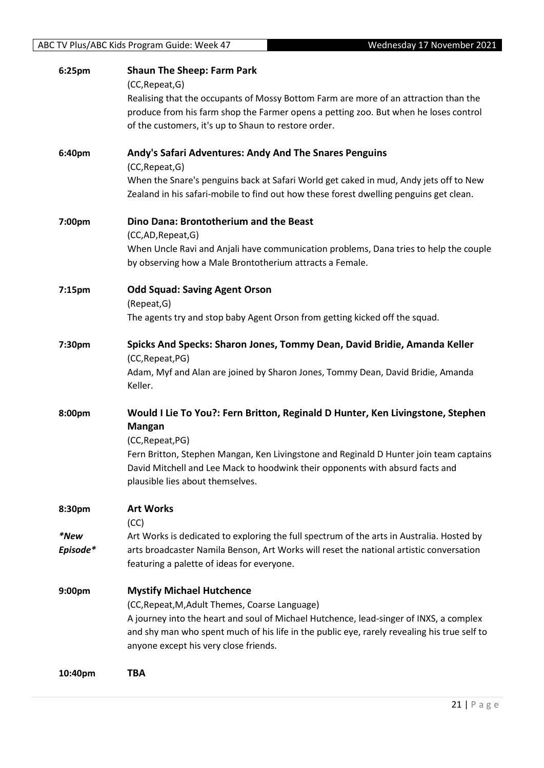| 6:25pm             | <b>Shaun The Sheep: Farm Park</b>                                                                                                                                               |
|--------------------|---------------------------------------------------------------------------------------------------------------------------------------------------------------------------------|
|                    | (CC, Repeat, G)                                                                                                                                                                 |
|                    | Realising that the occupants of Mossy Bottom Farm are more of an attraction than the<br>produce from his farm shop the Farmer opens a petting zoo. But when he loses control    |
|                    | of the customers, it's up to Shaun to restore order.                                                                                                                            |
|                    |                                                                                                                                                                                 |
| 6:40pm             | Andy's Safari Adventures: Andy And The Snares Penguins                                                                                                                          |
|                    | (CC, Repeat, G)                                                                                                                                                                 |
|                    | When the Snare's penguins back at Safari World get caked in mud, Andy jets off to New<br>Zealand in his safari-mobile to find out how these forest dwelling penguins get clean. |
| 7:00pm             | Dino Dana: Brontotherium and the Beast                                                                                                                                          |
|                    | (CC,AD,Repeat,G)                                                                                                                                                                |
|                    | When Uncle Ravi and Anjali have communication problems, Dana tries to help the couple<br>by observing how a Male Brontotherium attracts a Female.                               |
| 7:15 <sub>pm</sub> | <b>Odd Squad: Saving Agent Orson</b>                                                                                                                                            |
|                    | (Repeat, G)                                                                                                                                                                     |
|                    | The agents try and stop baby Agent Orson from getting kicked off the squad.                                                                                                     |
| 7:30pm             | Spicks And Specks: Sharon Jones, Tommy Dean, David Bridie, Amanda Keller                                                                                                        |
|                    | (CC, Repeat, PG)                                                                                                                                                                |
|                    | Adam, Myf and Alan are joined by Sharon Jones, Tommy Dean, David Bridie, Amanda                                                                                                 |
|                    | Keller.                                                                                                                                                                         |
| 8:00pm             | Would I Lie To You?: Fern Britton, Reginald D Hunter, Ken Livingstone, Stephen                                                                                                  |
|                    | <b>Mangan</b>                                                                                                                                                                   |
|                    | (CC, Repeat, PG)                                                                                                                                                                |
|                    | Fern Britton, Stephen Mangan, Ken Livingstone and Reginald D Hunter join team captains                                                                                          |
|                    | David Mitchell and Lee Mack to hoodwink their opponents with absurd facts and<br>plausible lies about themselves.                                                               |
|                    |                                                                                                                                                                                 |
| 8:30pm             | <b>Art Works</b>                                                                                                                                                                |
|                    | (CC)                                                                                                                                                                            |
| *New               | Art Works is dedicated to exploring the full spectrum of the arts in Australia. Hosted by                                                                                       |
| Episode*           | arts broadcaster Namila Benson, Art Works will reset the national artistic conversation<br>featuring a palette of ideas for everyone.                                           |
|                    |                                                                                                                                                                                 |
| 9:00 <sub>pm</sub> | <b>Mystify Michael Hutchence</b>                                                                                                                                                |
|                    | (CC, Repeat, M, Adult Themes, Coarse Language)                                                                                                                                  |
|                    | A journey into the heart and soul of Michael Hutchence, lead-singer of INXS, a complex                                                                                          |
|                    | and shy man who spent much of his life in the public eye, rarely revealing his true self to                                                                                     |
|                    | anyone except his very close friends.                                                                                                                                           |
| 10:40pm            | <b>TBA</b>                                                                                                                                                                      |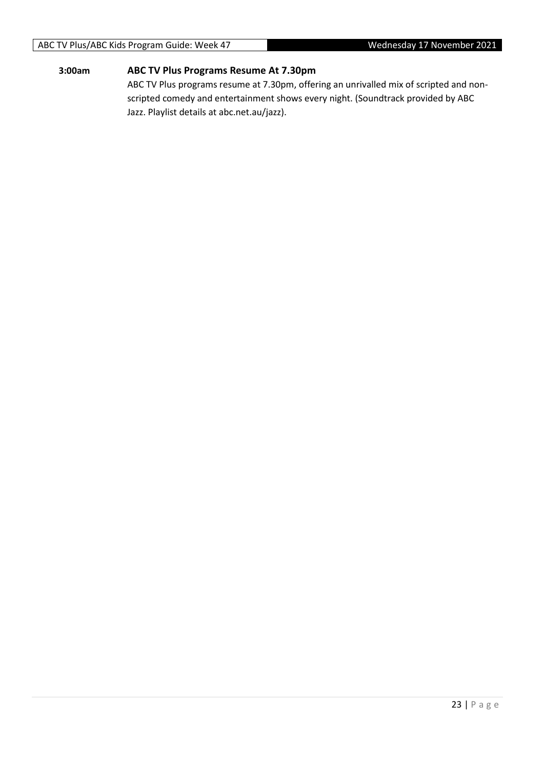## ABC TV Plus/ABC Kids Program Guide: Week 47 Wednesday 17 November 2021

#### **3:00am ABC TV Plus Programs Resume At 7.30pm**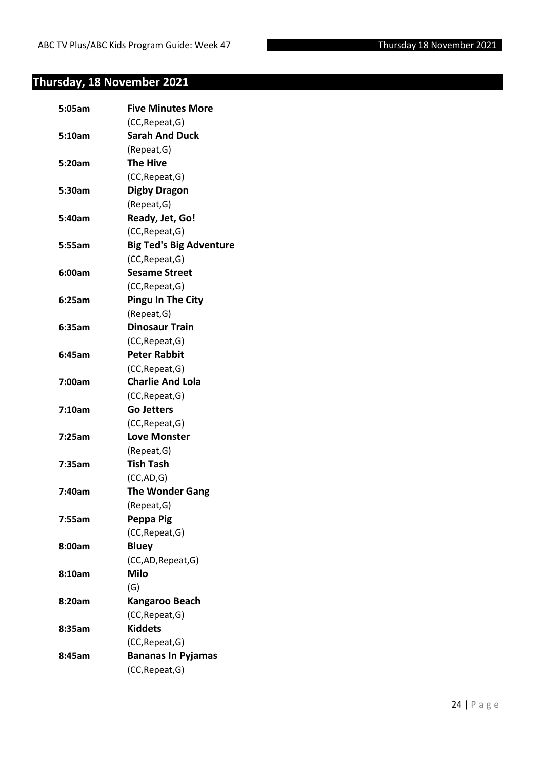# <span id="page-23-0"></span>**Thursday, 18 November 2021**

| 5:05am | <b>Five Minutes More</b>       |
|--------|--------------------------------|
|        | (CC, Repeat, G)                |
| 5:10am | <b>Sarah And Duck</b>          |
|        | (Repeat, G)                    |
| 5:20am | <b>The Hive</b>                |
|        | (CC, Repeat, G)                |
| 5:30am | <b>Digby Dragon</b>            |
|        | (Repeat, G)                    |
| 5:40am | Ready, Jet, Go!                |
|        | (CC, Repeat, G)                |
| 5:55am | <b>Big Ted's Big Adventure</b> |
|        | (CC, Repeat, G)                |
| 6:00am | <b>Sesame Street</b>           |
|        | (CC, Repeat, G)                |
| 6:25am | <b>Pingu In The City</b>       |
|        | (Repeat, G)                    |
| 6:35am | <b>Dinosaur Train</b>          |
|        | (CC, Repeat, G)                |
| 6:45am | <b>Peter Rabbit</b>            |
|        | (CC, Repeat, G)                |
| 7:00am | <b>Charlie And Lola</b>        |
|        | (CC, Repeat, G)                |
| 7:10am | <b>Go Jetters</b>              |
|        | (CC, Repeat, G)                |
| 7:25am | <b>Love Monster</b>            |
|        | (Repeat, G)                    |
| 7:35am | <b>Tish Tash</b>               |
|        | (CC, AD, G)                    |
| 7:40am | <b>The Wonder Gang</b>         |
|        | (Repeat, G)                    |
| 7:55am | Peppa Pig                      |
|        | (CC, Repeat, G)                |
| 8:00am | <b>Bluey</b>                   |
|        | (CC,AD, Repeat, G)             |
| 8:10am | Milo                           |
|        | (G)                            |
| 8:20am | Kangaroo Beach                 |
|        | (CC, Repeat, G)                |
| 8:35am | <b>Kiddets</b>                 |
|        | (CC, Repeat, G)                |
| 8:45am | <b>Bananas In Pyjamas</b>      |
|        | (CC, Repeat, G)                |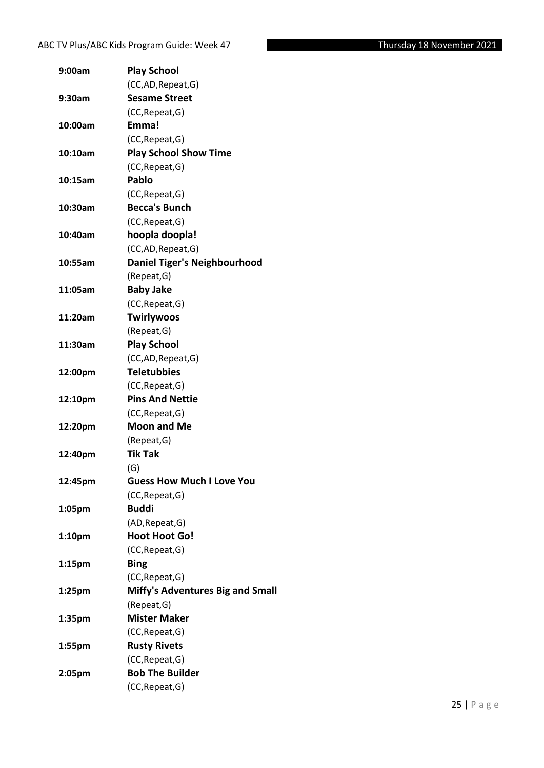| 9:00am             | <b>Play School</b>                      |
|--------------------|-----------------------------------------|
|                    | (CC,AD, Repeat, G)                      |
| 9:30am             | <b>Sesame Street</b>                    |
|                    | (CC, Repeat, G)                         |
| 10:00am            | Emma!                                   |
|                    | (CC, Repeat, G)                         |
| 10:10am            | <b>Play School Show Time</b>            |
|                    | (CC, Repeat, G)                         |
| 10:15am            | Pablo                                   |
|                    | (CC, Repeat, G)                         |
| 10:30am            | <b>Becca's Bunch</b>                    |
|                    | (CC, Repeat, G)                         |
| 10:40am            | hoopla doopla!                          |
|                    | (CC,AD, Repeat, G)                      |
| 10:55am            | <b>Daniel Tiger's Neighbourhood</b>     |
|                    | (Repeat, G)                             |
| 11:05am            | <b>Baby Jake</b>                        |
|                    | (CC, Repeat, G)                         |
| 11:20am            | <b>Twirlywoos</b>                       |
|                    | (Repeat, G)                             |
| 11:30am            | <b>Play School</b>                      |
|                    | (CC,AD,Repeat,G)                        |
| 12:00pm            | <b>Teletubbies</b>                      |
|                    | (CC, Repeat, G)                         |
| 12:10pm            | <b>Pins And Nettie</b>                  |
|                    | (CC, Repeat, G)                         |
| 12:20pm            | <b>Moon and Me</b>                      |
|                    | (Repeat, G)                             |
| 12:40pm            | <b>Tik Tak</b>                          |
|                    | (G)                                     |
| 12:45pm            | <b>Guess How Much I Love You</b>        |
|                    | (CC, Repeat, G)                         |
| 1:05pm             | <b>Buddi</b>                            |
|                    | (AD, Repeat, G)                         |
| 1:10 <sub>pm</sub> | <b>Hoot Hoot Go!</b>                    |
|                    | (CC, Repeat, G)                         |
| 1:15 <sub>pm</sub> | <b>Bing</b>                             |
|                    | (CC, Repeat, G)                         |
| 1:25pm             | <b>Miffy's Adventures Big and Small</b> |
|                    | (Repeat, G)                             |
| 1:35pm             | <b>Mister Maker</b>                     |
|                    | (CC, Repeat, G)                         |
| 1:55pm             | <b>Rusty Rivets</b>                     |
|                    | (CC, Repeat, G)                         |
| 2:05pm             | <b>Bob The Builder</b>                  |
|                    | (CC, Repeat, G)                         |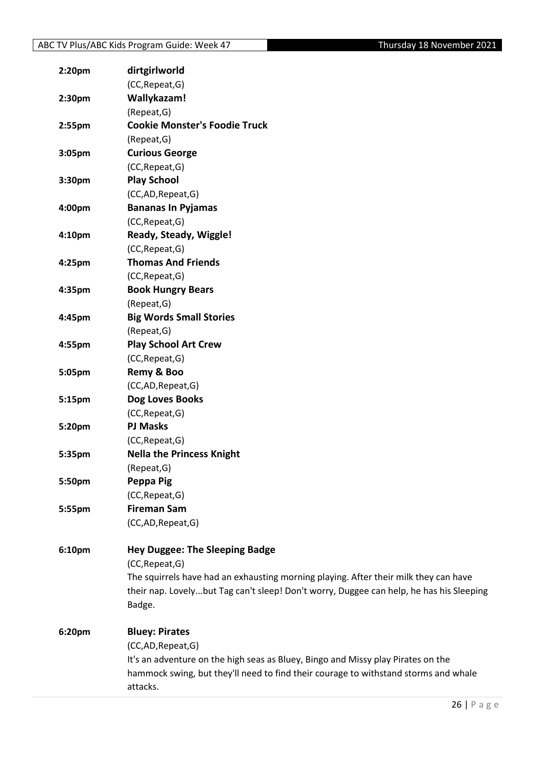| 2:20pm | dirtgirlworld                                                                           |
|--------|-----------------------------------------------------------------------------------------|
|        | (CC, Repeat, G)                                                                         |
| 2:30pm | Wallykazam!                                                                             |
|        | (Repeat, G)                                                                             |
| 2:55pm | <b>Cookie Monster's Foodie Truck</b>                                                    |
|        | (Repeat, G)                                                                             |
| 3:05pm | <b>Curious George</b>                                                                   |
|        | (CC, Repeat, G)                                                                         |
| 3:30pm | <b>Play School</b>                                                                      |
|        | (CC,AD,Repeat,G)                                                                        |
| 4:00pm | <b>Bananas In Pyjamas</b>                                                               |
|        | (CC, Repeat, G)                                                                         |
| 4:10pm | Ready, Steady, Wiggle!                                                                  |
|        | (CC, Repeat, G)                                                                         |
| 4:25pm | <b>Thomas And Friends</b>                                                               |
|        | (CC, Repeat, G)                                                                         |
| 4:35pm | <b>Book Hungry Bears</b>                                                                |
|        | (Repeat, G)                                                                             |
| 4:45pm | <b>Big Words Small Stories</b>                                                          |
|        | (Repeat, G)                                                                             |
| 4:55pm | <b>Play School Art Crew</b>                                                             |
|        | (CC, Repeat, G)                                                                         |
| 5:05pm | Remy & Boo                                                                              |
|        | (CC,AD,Repeat,G)                                                                        |
| 5:15pm | Dog Loves Books                                                                         |
|        | (CC, Repeat, G)                                                                         |
| 5:20pm | <b>PJ Masks</b>                                                                         |
|        | (CC, Repeat, G)                                                                         |
| 5:35pm | <b>Nella the Princess Knight</b>                                                        |
|        | (Repeat, G)                                                                             |
| 5:50pm | Peppa Pig                                                                               |
|        | (CC, Repeat, G)                                                                         |
| 5:55pm | <b>Fireman Sam</b>                                                                      |
|        | (CC,AD,Repeat,G)                                                                        |
| 6:10pm | <b>Hey Duggee: The Sleeping Badge</b>                                                   |
|        | (CC, Repeat, G)                                                                         |
|        | The squirrels have had an exhausting morning playing. After their milk they can have    |
|        | their nap. Lovelybut Tag can't sleep! Don't worry, Duggee can help, he has his Sleeping |
|        | Badge.                                                                                  |
| 6:20pm | <b>Bluey: Pirates</b>                                                                   |
|        | (CC,AD,Repeat,G)                                                                        |
|        | It's an adventure on the high seas as Bluey, Bingo and Missy play Pirates on the        |
|        | hammock swing, but they'll need to find their courage to withstand storms and whale     |
|        | attacks.                                                                                |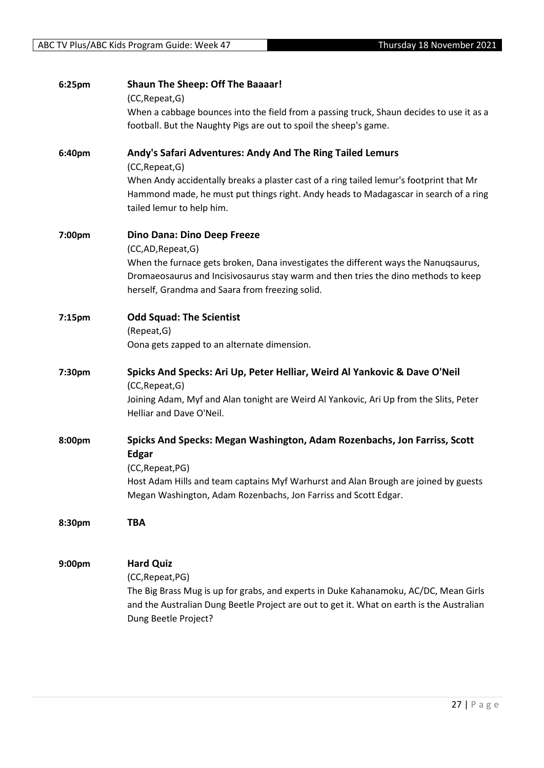| 6:25pm | <b>Shaun The Sheep: Off The Baaaar!</b><br>(CC, Repeat, G)                                                                                                                                                                   |
|--------|------------------------------------------------------------------------------------------------------------------------------------------------------------------------------------------------------------------------------|
|        | When a cabbage bounces into the field from a passing truck, Shaun decides to use it as a                                                                                                                                     |
|        | football. But the Naughty Pigs are out to spoil the sheep's game.                                                                                                                                                            |
| 6:40pm | Andy's Safari Adventures: Andy And The Ring Tailed Lemurs<br>(CC, Repeat, G)                                                                                                                                                 |
|        | When Andy accidentally breaks a plaster cast of a ring tailed lemur's footprint that Mr<br>Hammond made, he must put things right. Andy heads to Madagascar in search of a ring<br>tailed lemur to help him.                 |
| 7:00pm | Dino Dana: Dino Deep Freeze<br>(CC,AD,Repeat,G)                                                                                                                                                                              |
|        | When the furnace gets broken, Dana investigates the different ways the Nanuqsaurus,<br>Dromaeosaurus and Incisivosaurus stay warm and then tries the dino methods to keep<br>herself, Grandma and Saara from freezing solid. |
| 7:15pm | <b>Odd Squad: The Scientist</b><br>(Repeat, G)                                                                                                                                                                               |
|        | Oona gets zapped to an alternate dimension.                                                                                                                                                                                  |
| 7:30pm | Spicks And Specks: Ari Up, Peter Helliar, Weird Al Yankovic & Dave O'Neil<br>(CC, Repeat, G)                                                                                                                                 |
|        | Joining Adam, Myf and Alan tonight are Weird Al Yankovic, Ari Up from the Slits, Peter<br>Helliar and Dave O'Neil.                                                                                                           |
| 8:00pm | Spicks And Specks: Megan Washington, Adam Rozenbachs, Jon Farriss, Scott<br><b>Edgar</b>                                                                                                                                     |
|        | (CC, Repeat, PG)<br>Host Adam Hills and team captains Myf Warhurst and Alan Brough are joined by guests<br>Megan Washington, Adam Rozenbachs, Jon Farriss and Scott Edgar.                                                   |
| 8:30pm | <b>TBA</b>                                                                                                                                                                                                                   |
| 9:00pm | <b>Hard Quiz</b>                                                                                                                                                                                                             |
|        | (CC, Repeat, PG)<br>The Big Brass Mug is up for grabs, and experts in Duke Kahanamoku, AC/DC, Mean Girls<br>and the Australian Dung Beetle Project are out to get it. What on earth is the Australian                        |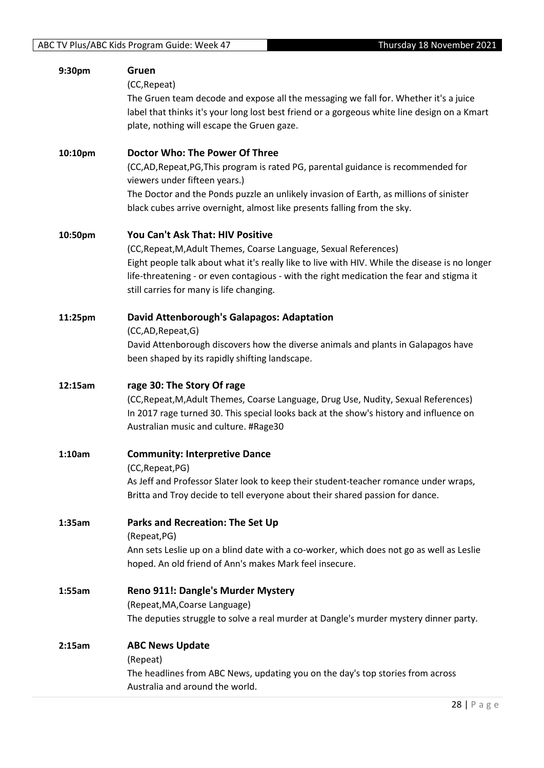| 9:30pm  | Gruen<br>(CC, Repeat)<br>The Gruen team decode and expose all the messaging we fall for. Whether it's a juice<br>label that thinks it's your long lost best friend or a gorgeous white line design on a Kmart<br>plate, nothing will escape the Gruen gaze.                                                                                     |
|---------|-------------------------------------------------------------------------------------------------------------------------------------------------------------------------------------------------------------------------------------------------------------------------------------------------------------------------------------------------|
| 10:10pm | <b>Doctor Who: The Power Of Three</b><br>(CC,AD,Repeat,PG,This program is rated PG, parental guidance is recommended for<br>viewers under fifteen years.)<br>The Doctor and the Ponds puzzle an unlikely invasion of Earth, as millions of sinister<br>black cubes arrive overnight, almost like presents falling from the sky.                 |
| 10:50pm | You Can't Ask That: HIV Positive<br>(CC, Repeat, M, Adult Themes, Coarse Language, Sexual References)<br>Eight people talk about what it's really like to live with HIV. While the disease is no longer<br>life-threatening - or even contagious - with the right medication the fear and stigma it<br>still carries for many is life changing. |
| 11:25pm | David Attenborough's Galapagos: Adaptation<br>(CC,AD,Repeat,G)<br>David Attenborough discovers how the diverse animals and plants in Galapagos have<br>been shaped by its rapidly shifting landscape.                                                                                                                                           |
| 12:15am | rage 30: The Story Of rage<br>(CC, Repeat, M, Adult Themes, Coarse Language, Drug Use, Nudity, Sexual References)<br>In 2017 rage turned 30. This special looks back at the show's history and influence on<br>Australian music and culture. #Rage30                                                                                            |
| 1:10am  | <b>Community: Interpretive Dance</b><br>(CC, Repeat, PG)<br>As Jeff and Professor Slater look to keep their student-teacher romance under wraps,<br>Britta and Troy decide to tell everyone about their shared passion for dance.                                                                                                               |
| 1:35am  | <b>Parks and Recreation: The Set Up</b><br>(Repeat, PG)<br>Ann sets Leslie up on a blind date with a co-worker, which does not go as well as Leslie<br>hoped. An old friend of Ann's makes Mark feel insecure.                                                                                                                                  |
| 1:55am  | Reno 911!: Dangle's Murder Mystery<br>(Repeat, MA, Coarse Language)<br>The deputies struggle to solve a real murder at Dangle's murder mystery dinner party.                                                                                                                                                                                    |
| 2:15am  | <b>ABC News Update</b><br>(Repeat)<br>The headlines from ABC News, updating you on the day's top stories from across<br>Australia and around the world.                                                                                                                                                                                         |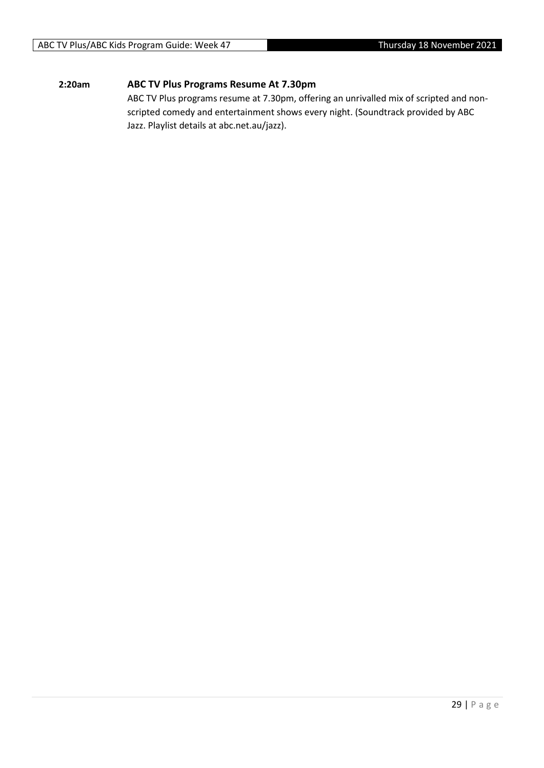#### **2:20am ABC TV Plus Programs Resume At 7.30pm**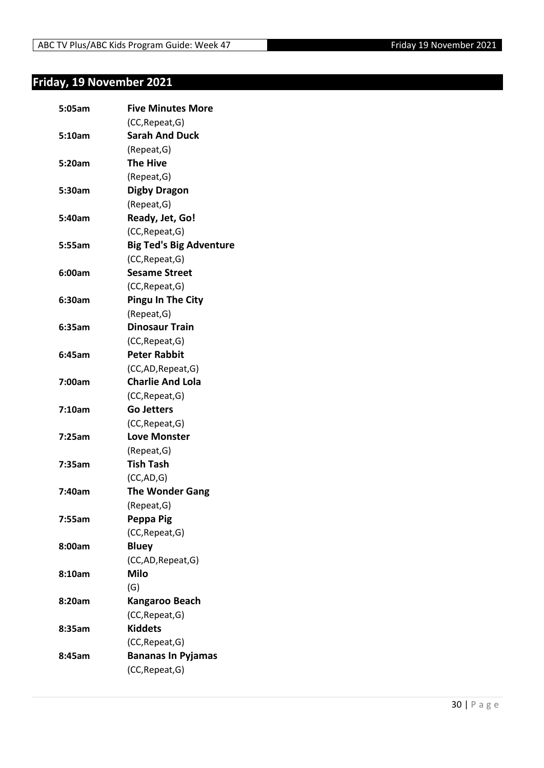# <span id="page-29-0"></span>**Friday, 19 November 2021**

| 5:05am | <b>Five Minutes More</b>       |
|--------|--------------------------------|
|        | (CC, Repeat, G)                |
| 5:10am | <b>Sarah And Duck</b>          |
|        | (Repeat, G)                    |
| 5:20am | <b>The Hive</b>                |
|        | (Repeat, G)                    |
| 5:30am | <b>Digby Dragon</b>            |
|        | (Repeat, G)                    |
| 5:40am | Ready, Jet, Go!                |
|        | (CC, Repeat, G)                |
| 5:55am | <b>Big Ted's Big Adventure</b> |
|        | (CC, Repeat, G)                |
| 6:00am | <b>Sesame Street</b>           |
|        | (CC, Repeat, G)                |
| 6:30am | <b>Pingu In The City</b>       |
|        | (Repeat, G)                    |
| 6:35am | <b>Dinosaur Train</b>          |
|        | (CC, Repeat, G)                |
| 6:45am | <b>Peter Rabbit</b>            |
|        | (CC,AD, Repeat, G)             |
| 7:00am | <b>Charlie And Lola</b>        |
|        | (CC, Repeat, G)                |
| 7:10am | <b>Go Jetters</b>              |
|        | (CC, Repeat, G)                |
| 7:25am | <b>Love Monster</b>            |
|        | (Repeat, G)                    |
| 7:35am | Tish Tash                      |
|        | (CC, AD, G)                    |
| 7:40am | <b>The Wonder Gang</b>         |
|        | (Repeat, G)                    |
| 7:55am | Peppa Pig                      |
|        | (CC, Repeat, G)                |
| 8:00am | <b>Bluey</b>                   |
|        | (CC,AD, Repeat, G)             |
| 8:10am | <b>Milo</b>                    |
|        | (G)                            |
| 8:20am | Kangaroo Beach                 |
|        | (CC, Repeat, G)                |
| 8:35am | <b>Kiddets</b>                 |
|        | (CC, Repeat, G)                |
| 8:45am | <b>Bananas In Pyjamas</b>      |
|        | (CC, Repeat, G)                |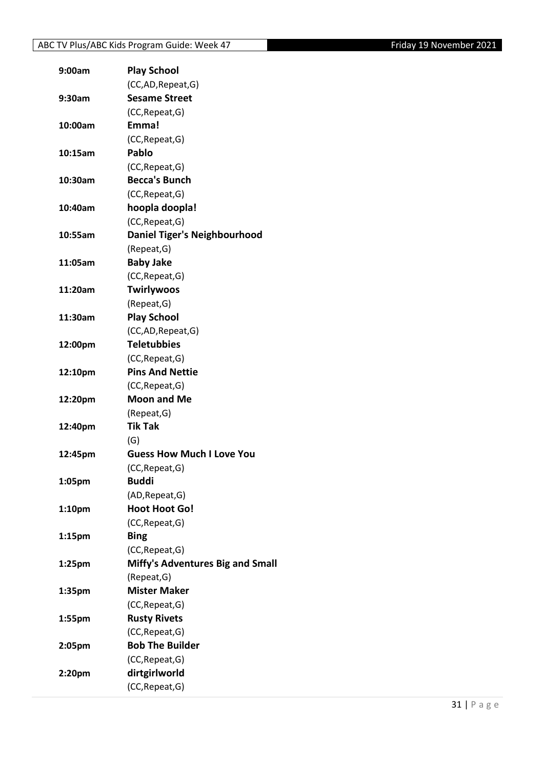| 9:00am             | <b>Play School</b>                      |
|--------------------|-----------------------------------------|
|                    | (CC,AD, Repeat, G)                      |
| 9:30am             | <b>Sesame Street</b>                    |
|                    | (CC, Repeat, G)                         |
| 10:00am            | Emma!                                   |
|                    | (CC, Repeat, G)                         |
| 10:15am            | Pablo                                   |
|                    | (CC, Repeat, G)                         |
| 10:30am            | <b>Becca's Bunch</b>                    |
|                    | (CC, Repeat, G)                         |
| 10:40am            | hoopla doopla!                          |
|                    | (CC, Repeat, G)                         |
| 10:55am            | <b>Daniel Tiger's Neighbourhood</b>     |
|                    | (Repeat, G)                             |
| 11:05am            | <b>Baby Jake</b>                        |
|                    | (CC, Repeat, G)                         |
| 11:20am            | <b>Twirlywoos</b>                       |
|                    | (Repeat, G)                             |
| 11:30am            | <b>Play School</b>                      |
|                    | (CC,AD,Repeat,G)                        |
| 12:00pm            | <b>Teletubbies</b>                      |
|                    | (CC, Repeat, G)                         |
| 12:10pm            | <b>Pins And Nettie</b>                  |
|                    | (CC, Repeat, G)                         |
| 12:20pm            | <b>Moon and Me</b>                      |
|                    | (Repeat, G)                             |
| 12:40pm            | <b>Tik Tak</b>                          |
|                    | (G)                                     |
| 12:45pm            | <b>Guess How Much I Love You</b>        |
|                    | (CC, Repeat, G)                         |
| 1:05pm             | <b>Buddi</b>                            |
|                    | (AD, Repeat, G)                         |
| 1:10pm             | <b>Hoot Hoot Go!</b>                    |
|                    | (CC, Repeat, G)                         |
| 1:15 <sub>pm</sub> | <b>Bing</b>                             |
|                    | (CC, Repeat, G)                         |
| 1:25pm             | <b>Miffy's Adventures Big and Small</b> |
|                    | (Repeat, G)                             |
| 1:35pm             | <b>Mister Maker</b>                     |
|                    | (CC, Repeat, G)                         |
| 1:55pm             | <b>Rusty Rivets</b>                     |
|                    | (CC, Repeat, G)                         |
| 2:05pm             | <b>Bob The Builder</b>                  |
|                    | (CC, Repeat, G)                         |
| 2:20pm             | dirtgirlworld                           |
|                    | (CC, Repeat, G)                         |
|                    |                                         |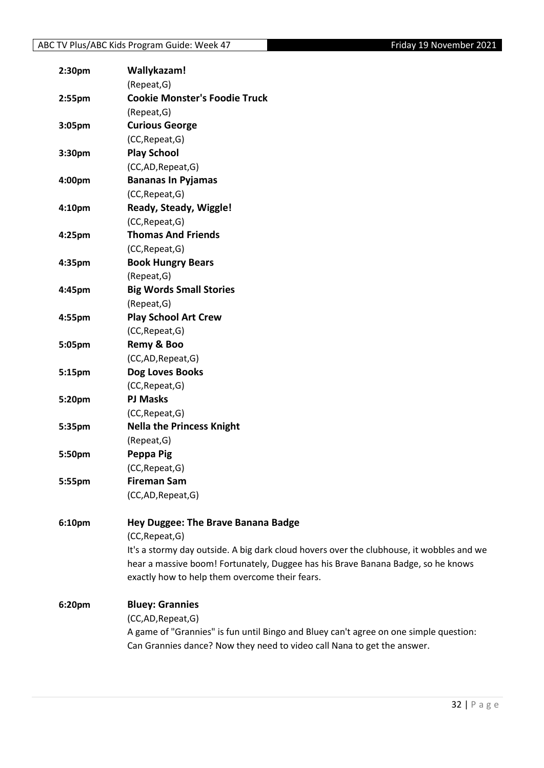| 2:30pm | Wallykazam!                                                                              |
|--------|------------------------------------------------------------------------------------------|
|        | (Repeat, G)                                                                              |
| 2:55pm | <b>Cookie Monster's Foodie Truck</b>                                                     |
|        | (Repeat, G)                                                                              |
| 3:05pm | <b>Curious George</b>                                                                    |
|        | (CC, Repeat, G)                                                                          |
| 3:30pm | <b>Play School</b>                                                                       |
|        | (CC,AD,Repeat,G)                                                                         |
| 4:00pm | <b>Bananas In Pyjamas</b>                                                                |
|        | (CC, Repeat, G)                                                                          |
| 4:10pm | Ready, Steady, Wiggle!                                                                   |
|        | (CC, Repeat, G)                                                                          |
| 4:25pm | <b>Thomas And Friends</b>                                                                |
|        | (CC, Repeat, G)                                                                          |
| 4:35pm | <b>Book Hungry Bears</b>                                                                 |
|        | (Repeat, G)                                                                              |
| 4:45pm | <b>Big Words Small Stories</b>                                                           |
|        | (Repeat, G)                                                                              |
| 4:55pm | <b>Play School Art Crew</b>                                                              |
|        | (CC, Repeat, G)                                                                          |
| 5:05pm | Remy & Boo                                                                               |
|        | (CC,AD,Repeat,G)                                                                         |
| 5:15pm | Dog Loves Books                                                                          |
|        | (CC, Repeat, G)                                                                          |
| 5:20pm | <b>PJ Masks</b>                                                                          |
|        | (CC, Repeat, G)                                                                          |
| 5:35pm | <b>Nella the Princess Knight</b>                                                         |
|        | (Repeat, G)                                                                              |
| 5:50pm | Peppa Pig                                                                                |
|        | (CC, Repeat, G)                                                                          |
| 5:55pm | <b>Fireman Sam</b>                                                                       |
|        | (CC,AD,Repeat,G)                                                                         |
| 6:10pm | Hey Duggee: The Brave Banana Badge                                                       |
|        | (CC, Repeat, G)                                                                          |
|        | It's a stormy day outside. A big dark cloud hovers over the clubhouse, it wobbles and we |
|        | hear a massive boom! Fortunately, Duggee has his Brave Banana Badge, so he knows         |
|        | exactly how to help them overcome their fears.                                           |
| 6:20pm | <b>Bluey: Grannies</b>                                                                   |
|        | (CC,AD,Repeat,G)                                                                         |
|        | A game of "Grannies" is fun until Bingo and Bluey can't agree on one simple question:    |
|        | Can Grannies dance? Now they need to video call Nana to get the answer.                  |
|        |                                                                                          |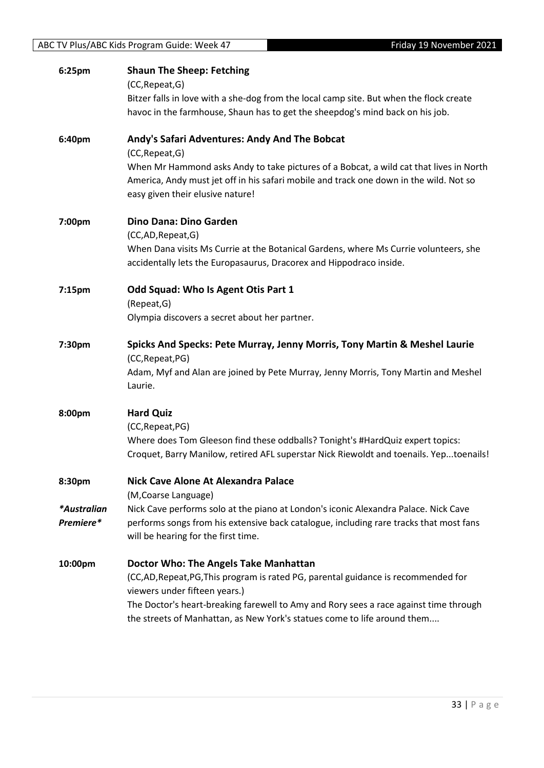|                          | ABC TV Plus/ABC Kids Program Guide: Week 47<br>Friday 19 November 2021                                                                                                                                                                                                                                                         |  |
|--------------------------|--------------------------------------------------------------------------------------------------------------------------------------------------------------------------------------------------------------------------------------------------------------------------------------------------------------------------------|--|
| 6:25pm                   | <b>Shaun The Sheep: Fetching</b><br>(CC, Repeat, G)                                                                                                                                                                                                                                                                            |  |
|                          | Bitzer falls in love with a she-dog from the local camp site. But when the flock create<br>havoc in the farmhouse, Shaun has to get the sheepdog's mind back on his job.                                                                                                                                                       |  |
| 6:40pm                   | Andy's Safari Adventures: Andy And The Bobcat<br>(CC, Repeat, G)                                                                                                                                                                                                                                                               |  |
|                          | When Mr Hammond asks Andy to take pictures of a Bobcat, a wild cat that lives in North<br>America, Andy must jet off in his safari mobile and track one down in the wild. Not so<br>easy given their elusive nature!                                                                                                           |  |
| 7:00pm                   | Dino Dana: Dino Garden                                                                                                                                                                                                                                                                                                         |  |
|                          | (CC,AD,Repeat,G)<br>When Dana visits Ms Currie at the Botanical Gardens, where Ms Currie volunteers, she<br>accidentally lets the Europasaurus, Dracorex and Hippodraco inside.                                                                                                                                                |  |
| 7:15pm                   | Odd Squad: Who Is Agent Otis Part 1<br>(Repeat, G)<br>Olympia discovers a secret about her partner.                                                                                                                                                                                                                            |  |
| 7:30pm                   | Spicks And Specks: Pete Murray, Jenny Morris, Tony Martin & Meshel Laurie<br>(CC, Repeat, PG)<br>Adam, Myf and Alan are joined by Pete Murray, Jenny Morris, Tony Martin and Meshel<br>Laurie.                                                                                                                                 |  |
| 8:00pm                   | <b>Hard Quiz</b><br>(CC, Repeat, PG)<br>Where does Tom Gleeson find these oddballs? Tonight's #HardQuiz expert topics:<br>Croquet, Barry Manilow, retired AFL superstar Nick Riewoldt and toenails. Yeptoenails!                                                                                                               |  |
| 8:30pm                   | <b>Nick Cave Alone At Alexandra Palace</b><br>(M, Coarse Language)                                                                                                                                                                                                                                                             |  |
| *Australian<br>Premiere* | Nick Cave performs solo at the piano at London's iconic Alexandra Palace. Nick Cave<br>performs songs from his extensive back catalogue, including rare tracks that most fans<br>will be hearing for the first time.                                                                                                           |  |
| 10:00pm                  | Doctor Who: The Angels Take Manhattan<br>(CC,AD,Repeat,PG,This program is rated PG, parental guidance is recommended for<br>viewers under fifteen years.)<br>The Doctor's heart-breaking farewell to Amy and Rory sees a race against time through<br>the streets of Manhattan, as New York's statues come to life around them |  |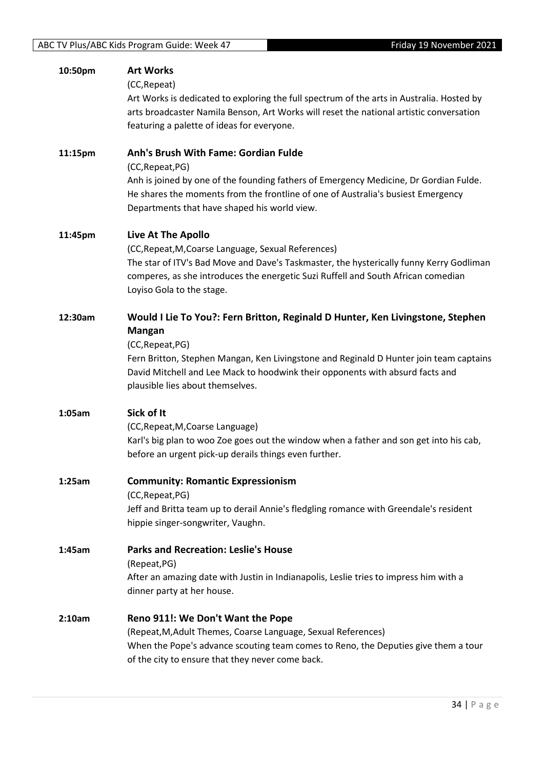| 10:50pm | <b>Art Works</b><br>(CC, Repeat)<br>Art Works is dedicated to exploring the full spectrum of the arts in Australia. Hosted by<br>arts broadcaster Namila Benson, Art Works will reset the national artistic conversation<br>featuring a palette of ideas for everyone.                                                             |
|---------|------------------------------------------------------------------------------------------------------------------------------------------------------------------------------------------------------------------------------------------------------------------------------------------------------------------------------------|
| 11:15pm | Anh's Brush With Fame: Gordian Fulde<br>(CC, Repeat, PG)<br>Anh is joined by one of the founding fathers of Emergency Medicine, Dr Gordian Fulde.<br>He shares the moments from the frontline of one of Australia's busiest Emergency<br>Departments that have shaped his world view.                                              |
| 11:45pm | <b>Live At The Apollo</b><br>(CC, Repeat, M, Coarse Language, Sexual References)<br>The star of ITV's Bad Move and Dave's Taskmaster, the hysterically funny Kerry Godliman<br>comperes, as she introduces the energetic Suzi Ruffell and South African comedian<br>Loyiso Gola to the stage.                                      |
| 12:30am | Would I Lie To You?: Fern Britton, Reginald D Hunter, Ken Livingstone, Stephen<br><b>Mangan</b><br>(CC, Repeat, PG)<br>Fern Britton, Stephen Mangan, Ken Livingstone and Reginald D Hunter join team captains<br>David Mitchell and Lee Mack to hoodwink their opponents with absurd facts and<br>plausible lies about themselves. |
| 1:05am  | Sick of It<br>(CC, Repeat, M, Coarse Language)<br>Karl's big plan to woo Zoe goes out the window when a father and son get into his cab,<br>before an urgent pick-up derails things even further.                                                                                                                                  |
| 1:25am  | <b>Community: Romantic Expressionism</b><br>(CC, Repeat, PG)<br>Jeff and Britta team up to derail Annie's fledgling romance with Greendale's resident<br>hippie singer-songwriter, Vaughn.                                                                                                                                         |
| 1:45am  | <b>Parks and Recreation: Leslie's House</b><br>(Repeat, PG)<br>After an amazing date with Justin in Indianapolis, Leslie tries to impress him with a<br>dinner party at her house.                                                                                                                                                 |
| 2:10am  | Reno 911!: We Don't Want the Pope<br>(Repeat, M, Adult Themes, Coarse Language, Sexual References)<br>When the Pope's advance scouting team comes to Reno, the Deputies give them a tour<br>of the city to ensure that they never come back.                                                                                       |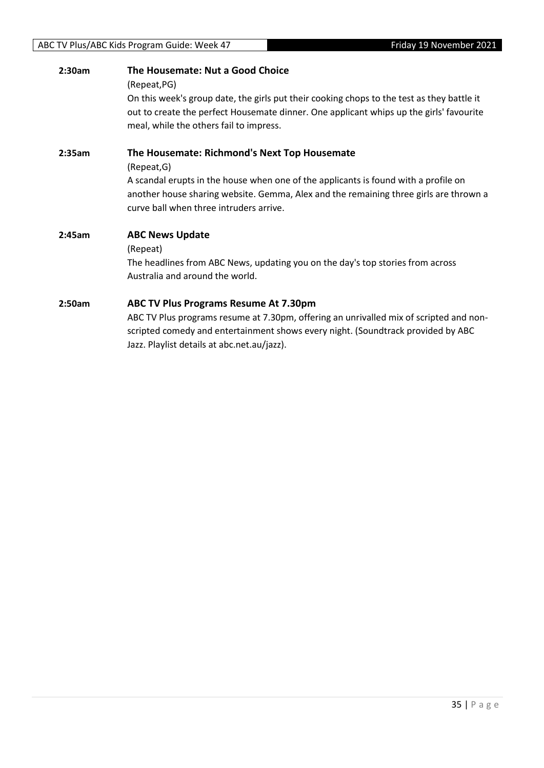## **2:30am The Housemate: Nut a Good Choice** (Repeat,PG) On this week's group date, the girls put their cooking chops to the test as they battle it out to create the perfect Housemate dinner. One applicant whips up the girls' favourite meal, while the others fail to impress. **2:35am The Housemate: Richmond's Next Top Housemate** (Repeat,G) A scandal erupts in the house when one of the applicants is found with a profile on another house sharing website. Gemma, Alex and the remaining three girls are thrown a curve ball when three intruders arrive. **2:45am ABC News Update** (Repeat) The headlines from ABC News, updating you on the day's top stories from across Australia and around the world.

#### **2:50am ABC TV Plus Programs Resume At 7.30pm**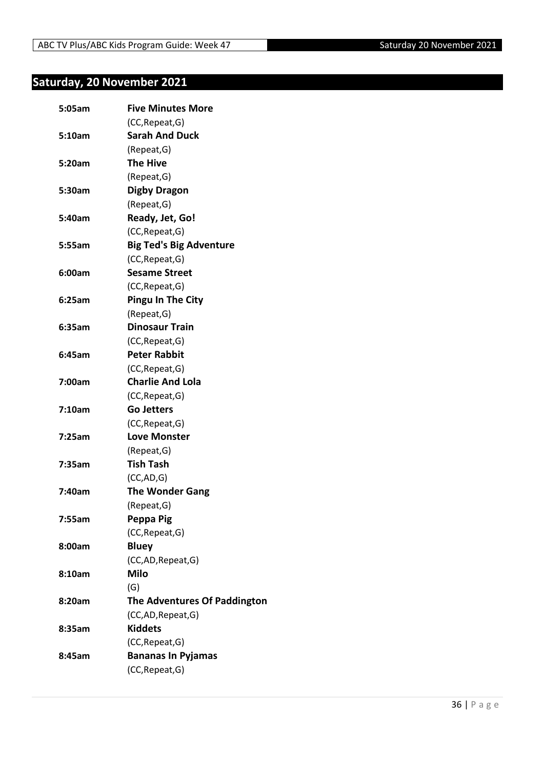# <span id="page-35-0"></span>**Saturday, 20 November 2021**

| 5:05am | <b>Five Minutes More</b>            |
|--------|-------------------------------------|
|        | (CC, Repeat, G)                     |
| 5:10am | <b>Sarah And Duck</b>               |
|        | (Repeat, G)                         |
| 5:20am | <b>The Hive</b>                     |
|        | (Repeat, G)                         |
| 5:30am | <b>Digby Dragon</b>                 |
|        | (Repeat, G)                         |
| 5:40am | Ready, Jet, Go!                     |
|        | (CC, Repeat, G)                     |
| 5:55am | <b>Big Ted's Big Adventure</b>      |
|        | (CC, Repeat, G)                     |
| 6:00am | <b>Sesame Street</b>                |
|        | (CC, Repeat, G)                     |
| 6:25am | <b>Pingu In The City</b>            |
|        | (Repeat, G)                         |
| 6:35am | <b>Dinosaur Train</b>               |
|        | (CC, Repeat, G)                     |
| 6:45am | <b>Peter Rabbit</b>                 |
|        | (CC, Repeat, G)                     |
| 7:00am | <b>Charlie And Lola</b>             |
|        | (CC, Repeat, G)                     |
| 7:10am | <b>Go Jetters</b>                   |
|        | (CC, Repeat, G)                     |
| 7:25am | <b>Love Monster</b>                 |
|        | (Repeat, G)                         |
| 7:35am | <b>Tish Tash</b>                    |
|        | (CC, AD, G)                         |
| 7:40am | <b>The Wonder Gang</b>              |
|        | (Repeat, G)                         |
| 7:55am | Peppa Pig                           |
|        | (CC, Repeat, G)                     |
| 8:00am | <b>Bluey</b>                        |
|        | (CC,AD,Repeat,G)                    |
| 8:10am | <b>Milo</b>                         |
|        | (G)                                 |
| 8:20am | <b>The Adventures Of Paddington</b> |
|        | (CC,AD,Repeat,G)                    |
| 8:35am | <b>Kiddets</b>                      |
|        | (CC, Repeat, G)                     |
| 8:45am | <b>Bananas In Pyjamas</b>           |
|        | (CC, Repeat, G)                     |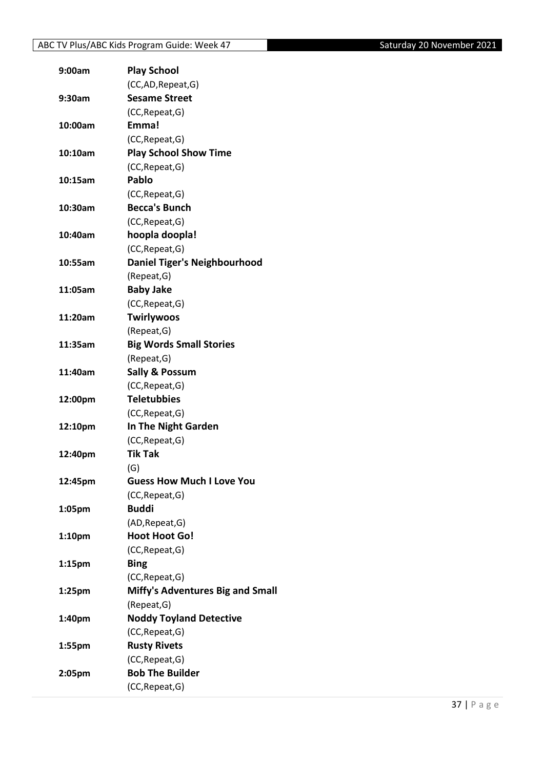| 9:00am             | <b>Play School</b>                      |
|--------------------|-----------------------------------------|
|                    | (CC,AD, Repeat, G)                      |
| 9:30am             | <b>Sesame Street</b>                    |
|                    | (CC, Repeat, G)                         |
| 10:00am            | Emma!                                   |
|                    | (CC, Repeat, G)                         |
| 10:10am            | <b>Play School Show Time</b>            |
|                    | (CC, Repeat, G)                         |
| 10:15am            | Pablo                                   |
|                    | (CC, Repeat, G)                         |
| 10:30am            | <b>Becca's Bunch</b>                    |
|                    | (CC, Repeat, G)                         |
| 10:40am            | hoopla doopla!                          |
|                    | (CC, Repeat, G)                         |
| 10:55am            | <b>Daniel Tiger's Neighbourhood</b>     |
|                    | (Repeat, G)                             |
| 11:05am            | <b>Baby Jake</b>                        |
|                    | (CC, Repeat, G)                         |
| 11:20am            | Twirlywoos                              |
|                    | (Repeat, G)                             |
| 11:35am            | <b>Big Words Small Stories</b>          |
|                    | (Repeat, G)                             |
| 11:40am            | <b>Sally &amp; Possum</b>               |
|                    | (CC, Repeat, G)                         |
| 12:00pm            | <b>Teletubbies</b>                      |
|                    | (CC, Repeat, G)                         |
| 12:10pm            | In The Night Garden                     |
|                    | (CC, Repeat, G)                         |
| 12:40pm            | <b>Tik Tak</b>                          |
|                    | (G)                                     |
| 12:45pm            | <b>Guess How Much I Love You</b>        |
|                    | (CC, Repeat, G)                         |
| 1:05pm             | <b>Buddi</b>                            |
|                    | (AD, Repeat, G)                         |
| 1:10 <sub>pm</sub> | <b>Hoot Hoot Go!</b>                    |
|                    | (CC, Repeat, G)                         |
| 1:15 <sub>pm</sub> | <b>Bing</b>                             |
|                    | (CC, Repeat, G)                         |
| 1:25pm             | <b>Miffy's Adventures Big and Small</b> |
|                    | (Repeat, G)                             |
| 1:40pm             | <b>Noddy Toyland Detective</b>          |
|                    | (CC, Repeat, G)                         |
| 1:55pm             | <b>Rusty Rivets</b>                     |
|                    | (CC, Repeat, G)                         |
| 2:05pm             | <b>Bob The Builder</b>                  |
|                    | (CC, Repeat, G)                         |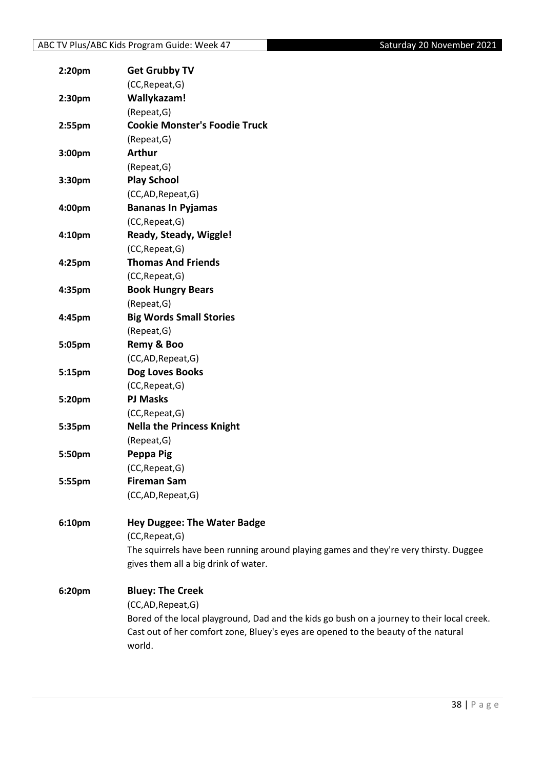| 2:20pm             | <b>Get Grubby TV</b>                                                                       |
|--------------------|--------------------------------------------------------------------------------------------|
|                    | (CC, Repeat, G)                                                                            |
| 2:30pm             | Wallykazam!                                                                                |
|                    | (Repeat, G)                                                                                |
| 2:55pm             | <b>Cookie Monster's Foodie Truck</b>                                                       |
|                    | (Repeat, G)                                                                                |
| 3:00 <sub>pm</sub> | <b>Arthur</b>                                                                              |
|                    | (Repeat, G)                                                                                |
| 3:30pm             | <b>Play School</b>                                                                         |
|                    | (CC,AD,Repeat,G)                                                                           |
| 4:00pm             | <b>Bananas In Pyjamas</b>                                                                  |
|                    | (CC, Repeat, G)                                                                            |
| 4:10pm             | Ready, Steady, Wiggle!                                                                     |
|                    | (CC, Repeat, G)                                                                            |
| 4:25pm             | <b>Thomas And Friends</b>                                                                  |
|                    | (CC, Repeat, G)                                                                            |
| 4:35pm             | <b>Book Hungry Bears</b>                                                                   |
|                    | (Repeat, G)                                                                                |
| 4:45pm             | <b>Big Words Small Stories</b>                                                             |
|                    | (Repeat, G)                                                                                |
| 5:05pm             | Remy & Boo                                                                                 |
|                    | (CC,AD,Repeat,G)                                                                           |
| 5:15pm             | Dog Loves Books                                                                            |
|                    | (CC, Repeat, G)                                                                            |
| 5:20pm             | <b>PJ Masks</b>                                                                            |
|                    | (CC, Repeat, G)                                                                            |
| 5:35pm             | <b>Nella the Princess Knight</b>                                                           |
|                    | (Repeat, G)                                                                                |
| 5:50pm             | Peppa Pig                                                                                  |
|                    | (CC, Repeat, G)                                                                            |
| 5:55pm             | <b>Fireman Sam</b>                                                                         |
|                    | (CC,AD,Repeat,G)                                                                           |
| 6:10pm             | <b>Hey Duggee: The Water Badge</b>                                                         |
|                    | (CC, Repeat, G)                                                                            |
|                    | The squirrels have been running around playing games and they're very thirsty. Duggee      |
|                    | gives them all a big drink of water.                                                       |
| 6:20pm             | <b>Bluey: The Creek</b>                                                                    |
|                    | (CC,AD,Repeat,G)                                                                           |
|                    | Bored of the local playground, Dad and the kids go bush on a journey to their local creek. |
|                    | Cast out of her comfort zone, Bluey's eyes are opened to the beauty of the natural         |
|                    | world.                                                                                     |
|                    |                                                                                            |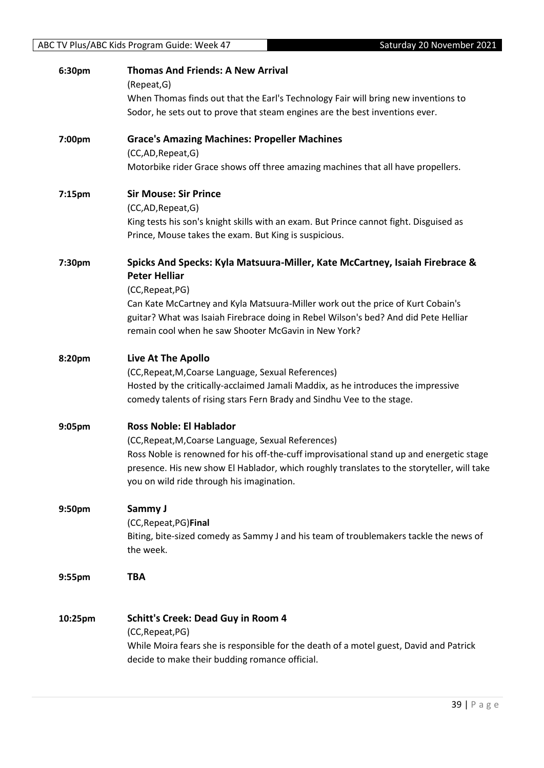| 6:30pm             | <b>Thomas And Friends: A New Arrival</b><br>(Repeat, G)                                             |
|--------------------|-----------------------------------------------------------------------------------------------------|
|                    | When Thomas finds out that the Earl's Technology Fair will bring new inventions to                  |
|                    | Sodor, he sets out to prove that steam engines are the best inventions ever.                        |
| 7:00pm             | <b>Grace's Amazing Machines: Propeller Machines</b>                                                 |
|                    | (CC,AD,Repeat,G)                                                                                    |
|                    | Motorbike rider Grace shows off three amazing machines that all have propellers.                    |
| 7:15 <sub>pm</sub> | <b>Sir Mouse: Sir Prince</b>                                                                        |
|                    | (CC,AD,Repeat,G)                                                                                    |
|                    | King tests his son's knight skills with an exam. But Prince cannot fight. Disguised as              |
|                    | Prince, Mouse takes the exam. But King is suspicious.                                               |
| 7:30pm             | Spicks And Specks: Kyla Matsuura-Miller, Kate McCartney, Isaiah Firebrace &<br><b>Peter Helliar</b> |
|                    | (CC, Repeat, PG)                                                                                    |
|                    | Can Kate McCartney and Kyla Matsuura-Miller work out the price of Kurt Cobain's                     |
|                    | guitar? What was Isaiah Firebrace doing in Rebel Wilson's bed? And did Pete Helliar                 |
|                    | remain cool when he saw Shooter McGavin in New York?                                                |
| 8:20pm             | Live At The Apollo                                                                                  |
|                    | (CC, Repeat, M, Coarse Language, Sexual References)                                                 |
|                    | Hosted by the critically-acclaimed Jamali Maddix, as he introduces the impressive                   |
|                    | comedy talents of rising stars Fern Brady and Sindhu Vee to the stage.                              |
| 9:05pm             | <b>Ross Noble: El Hablador</b>                                                                      |
|                    | (CC, Repeat, M, Coarse Language, Sexual References)                                                 |
|                    | Ross Noble is renowned for his off-the-cuff improvisational stand up and energetic stage            |
|                    | presence. His new show El Hablador, which roughly translates to the storyteller, will take          |
|                    | you on wild ride through his imagination.                                                           |
| 9:50pm             | Sammy J                                                                                             |
|                    | (CC, Repeat, PG) Final                                                                              |
|                    | Biting, bite-sized comedy as Sammy J and his team of troublemakers tackle the news of               |
|                    | the week.                                                                                           |
| 9:55pm             | <b>TBA</b>                                                                                          |
| 10:25pm            | <b>Schitt's Creek: Dead Guy in Room 4</b>                                                           |
|                    | (CC, Repeat, PG)                                                                                    |
|                    | While Moira fears she is responsible for the death of a motel guest, David and Patrick              |
|                    | decide to make their budding romance official.                                                      |
|                    |                                                                                                     |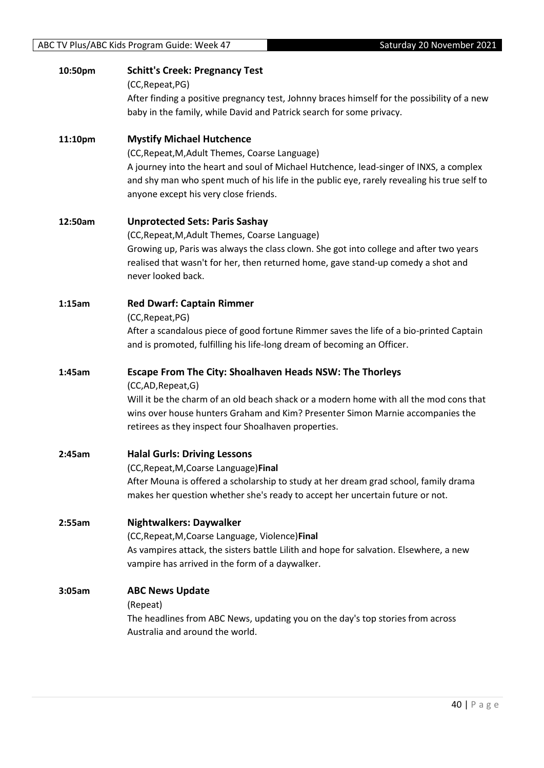| 10:50pm | <b>Schitt's Creek: Pregnancy Test</b><br>(CC, Repeat, PG)                                                         |
|---------|-------------------------------------------------------------------------------------------------------------------|
|         | After finding a positive pregnancy test, Johnny braces himself for the possibility of a new                       |
|         | baby in the family, while David and Patrick search for some privacy.                                              |
| 11:10pm | <b>Mystify Michael Hutchence</b>                                                                                  |
|         | (CC, Repeat, M, Adult Themes, Coarse Language)                                                                    |
|         | A journey into the heart and soul of Michael Hutchence, lead-singer of INXS, a complex                            |
|         | and shy man who spent much of his life in the public eye, rarely revealing his true self to                       |
|         | anyone except his very close friends.                                                                             |
| 12:50am | <b>Unprotected Sets: Paris Sashay</b>                                                                             |
|         | (CC, Repeat, M, Adult Themes, Coarse Language)                                                                    |
|         | Growing up, Paris was always the class clown. She got into college and after two years                            |
|         | realised that wasn't for her, then returned home, gave stand-up comedy a shot and<br>never looked back.           |
| 1:15am  | <b>Red Dwarf: Captain Rimmer</b>                                                                                  |
|         | (CC, Repeat, PG)                                                                                                  |
|         | After a scandalous piece of good fortune Rimmer saves the life of a bio-printed Captain                           |
|         | and is promoted, fulfilling his life-long dream of becoming an Officer.                                           |
| 1:45am  | <b>Escape From The City: Shoalhaven Heads NSW: The Thorleys</b>                                                   |
|         | (CC,AD,Repeat,G)                                                                                                  |
|         | Will it be the charm of an old beach shack or a modern home with all the mod cons that                            |
|         | wins over house hunters Graham and Kim? Presenter Simon Marnie accompanies the                                    |
|         | retirees as they inspect four Shoalhaven properties.                                                              |
| 2:45am  | <b>Halal Gurls: Driving Lessons</b>                                                                               |
|         | (CC, Repeat, M, Coarse Language) Final                                                                            |
|         | After Mouna is offered a scholarship to study at her dream grad school, family drama                              |
|         | makes her question whether she's ready to accept her uncertain future or not.                                     |
| 2:55am  | <b>Nightwalkers: Daywalker</b>                                                                                    |
|         | (CC, Repeat, M, Coarse Language, Violence) Final                                                                  |
|         | As vampires attack, the sisters battle Lilith and hope for salvation. Elsewhere, a new                            |
|         | vampire has arrived in the form of a daywalker.                                                                   |
| 3:05am  | <b>ABC News Update</b>                                                                                            |
|         | (Repeat)                                                                                                          |
|         | The headlines from ABC News, updating you on the day's top stories from across<br>Australia and around the world. |